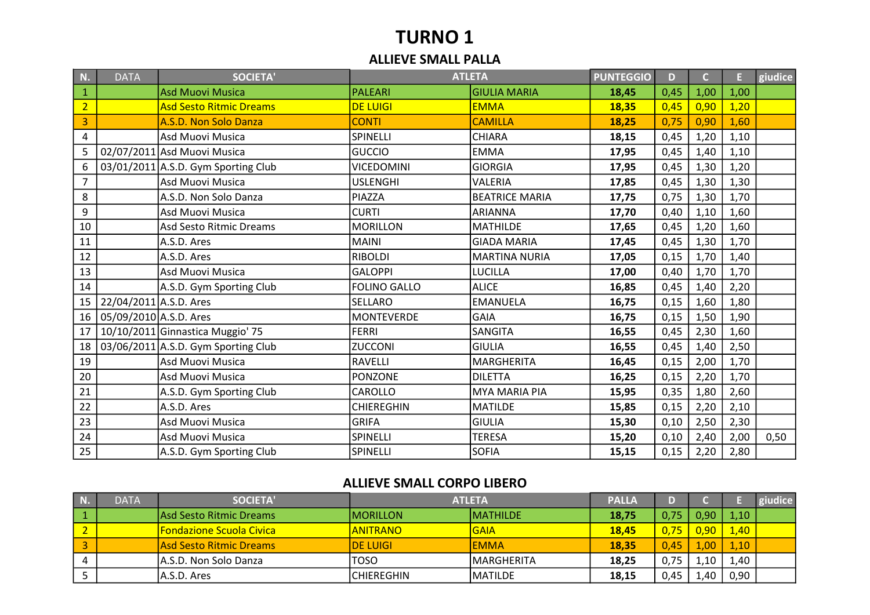# TURNO 1

#### ALLIEVE SMALL PALLA

| N.             | <b>DATA</b>            | <b>SOCIETA'</b>                     |                     | <b>ATLETA</b>         | <b>PUNTEGGIO</b> | D    | $\overline{C}$ | E.   | giudice |
|----------------|------------------------|-------------------------------------|---------------------|-----------------------|------------------|------|----------------|------|---------|
| $\mathbf{1}$   |                        | <b>Asd Muovi Musica</b>             | PALEARI             | <b>GIULIA MARIA</b>   | 18,45            | 0,45 | 1,00           | 1,00 |         |
| $\overline{2}$ |                        | <b>Asd Sesto Ritmic Dreams</b>      | <b>DE LUIGI</b>     | <b>EMMA</b>           | 18,35            | 0,45 | 0,90           | 1,20 |         |
| 3              |                        | A.S.D. Non Solo Danza               | <b>CONTI</b>        | <b>CAMILLA</b>        | 18,25            | 0,75 | 0,90           | 1,60 |         |
| 4              |                        | Asd Muovi Musica                    | SPINELLI            | <b>CHIARA</b>         | 18,15            | 0,45 | 1,20           | 1,10 |         |
| 5              |                        | 02/07/2011 Asd Muovi Musica         | <b>GUCCIO</b>       | <b>EMMA</b>           | 17,95            | 0,45 | 1,40           | 1,10 |         |
| 6              |                        | 03/01/2011 A.S.D. Gym Sporting Club | <b>VICEDOMINI</b>   | <b>GIORGIA</b>        | 17,95            | 0,45 | 1,30           | 1,20 |         |
| $\overline{7}$ |                        | Asd Muovi Musica                    | <b>USLENGHI</b>     | VALERIA               | 17,85            | 0,45 | 1,30           | 1,30 |         |
| 8              |                        | A.S.D. Non Solo Danza               | PIAZZA              | <b>BEATRICE MARIA</b> | 17,75            | 0,75 | 1,30           | 1,70 |         |
| 9              |                        | Asd Muovi Musica                    | <b>CURTI</b>        | <b>ARIANNA</b>        | 17,70            | 0,40 | 1,10           | 1,60 |         |
| 10             |                        | Asd Sesto Ritmic Dreams             | <b>MORILLON</b>     | <b>MATHILDE</b>       | 17,65            | 0,45 | 1,20           | 1,60 |         |
| 11             |                        | A.S.D. Ares                         | <b>MAINI</b>        | <b>GIADA MARIA</b>    | 17,45            | 0,45 | 1,30           | 1,70 |         |
| 12             |                        | A.S.D. Ares                         | <b>RIBOLDI</b>      | <b>MARTINA NURIA</b>  | 17,05            | 0,15 | 1,70           | 1,40 |         |
| 13             |                        | Asd Muovi Musica                    | <b>GALOPPI</b>      | <b>LUCILLA</b>        | 17,00            | 0,40 | 1,70           | 1,70 |         |
| 14             |                        | A.S.D. Gym Sporting Club            | <b>FOLINO GALLO</b> | <b>ALICE</b>          | 16,85            | 0,45 | 1,40           | 2,20 |         |
| 15             | 22/04/2011 A.S.D. Ares |                                     | <b>SELLARO</b>      | <b>EMANUELA</b>       | 16,75            | 0,15 | 1,60           | 1,80 |         |
| 16             | 05/09/2010 A.S.D. Ares |                                     | <b>MONTEVERDE</b>   | <b>GAIA</b>           | 16,75            | 0,15 | 1,50           | 1,90 |         |
| 17             |                        | 10/10/2011 Ginnastica Muggio' 75    | <b>FERRI</b>        | SANGITA               | 16,55            | 0,45 | 2,30           | 1,60 |         |
| 18             |                        | 03/06/2011 A.S.D. Gym Sporting Club | <b>ZUCCONI</b>      | <b>GIULIA</b>         | 16,55            | 0,45 | 1,40           | 2,50 |         |
| 19             |                        | Asd Muovi Musica                    | <b>RAVELLI</b>      | <b>MARGHERITA</b>     | 16,45            | 0,15 | 2,00           | 1,70 |         |
| 20             |                        | Asd Muovi Musica                    | <b>PONZONE</b>      | <b>DILETTA</b>        | 16,25            | 0,15 | 2,20           | 1,70 |         |
| 21             |                        | A.S.D. Gym Sporting Club            | CAROLLO             | <b>MYA MARIA PIA</b>  | 15,95            | 0,35 | 1,80           | 2,60 |         |
| 22             |                        | A.S.D. Ares                         | <b>CHIEREGHIN</b>   | <b>MATILDE</b>        | 15,85            | 0,15 | 2,20           | 2,10 |         |
| 23             |                        | Asd Muovi Musica                    | <b>GRIFA</b>        | <b>GIULIA</b>         | 15,30            | 0,10 | 2,50           | 2,30 |         |
| 24             |                        | Asd Muovi Musica                    | SPINELLI            | <b>TERESA</b>         | 15,20            | 0,10 | 2,40           | 2,00 | 0,50    |
| 25             |                        | A.S.D. Gym Sporting Club            | SPINELLI            | <b>SOFIA</b>          | 15,15            | 0,15 | 2,20           | 2,80 |         |

#### ALLIEVE SMALL CORPO LIBERO

| N. | <b>DATA</b> | <b>SOCIETA'</b>                 | <b>ATLETA</b>     |                    | <b>PALLA</b> |      |                   |      |  |
|----|-------------|---------------------------------|-------------------|--------------------|--------------|------|-------------------|------|--|
|    |             | lAsd Sesto Ritmic Dreams        | IMORILLON         | <b>MATHILDE</b>    | 18,75        | 0,75 | 0,90              | 1,10 |  |
|    |             | <b>Fondazione Scuola Civica</b> | <u>IANITRANO</u>  | <b>GAIA</b>        | 18.45        | 0,75 | 0.90 <sub>1</sub> | 1,40 |  |
|    |             | lAsd Sesto Ritmic Dreams        | <b>IDE LUIGI</b>  | lemma              | 18.35        | 0.45 | .00               | 1,10 |  |
|    |             | IA.S.D. Non Solo Danza          | TOSO              | <b>IMARGHERITA</b> | 18,25        | 0,75 | 1.10              | 1,40 |  |
|    |             | A.S.D. Ares                     | <b>CHIEREGHIN</b> | <b>MATILDE</b>     | 18,15        | 0,45 | 1.40              | 0,90 |  |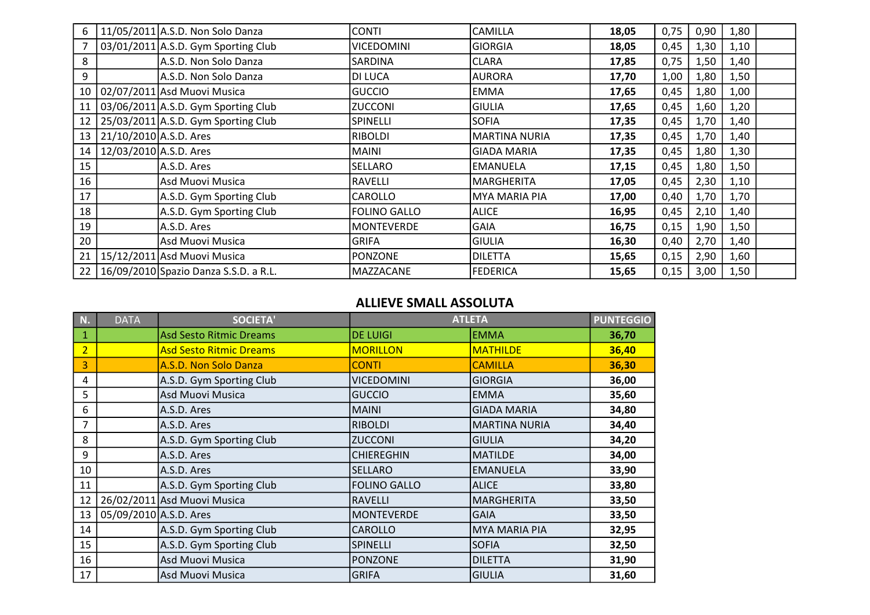| 6  |                        | 11/05/2011 A.S.D. Non Solo Danza      | <b>CONTI</b>        | <b>CAMILLA</b>       | 18,05 | 0,75 | 0,90 | 1,80 |  |
|----|------------------------|---------------------------------------|---------------------|----------------------|-------|------|------|------|--|
|    |                        | 03/01/2011 A.S.D. Gym Sporting Club   | <b>VICEDOMINI</b>   | <b>GIORGIA</b>       | 18,05 | 0,45 | 1,30 | 1,10 |  |
| 8  |                        | A.S.D. Non Solo Danza                 | SARDINA             | <b>CLARA</b>         | 17,85 | 0,75 | 1,50 | 1,40 |  |
| 9  |                        | A.S.D. Non Solo Danza                 | DI LUCA             | <b>AURORA</b>        | 17,70 | 1,00 | 1,80 | 1,50 |  |
| 10 |                        | 02/07/2011 Asd Muovi Musica           | <b>GUCCIO</b>       | EMMA                 | 17,65 | 0,45 | 1,80 | 1,00 |  |
| 11 |                        | 03/06/2011 A.S.D. Gym Sporting Club   | <b>ZUCCONI</b>      | <b>GIULIA</b>        | 17,65 | 0,45 | 1,60 | 1,20 |  |
| 12 |                        | 25/03/2011 A.S.D. Gym Sporting Club   | <b>SPINELLI</b>     | <b>SOFIA</b>         | 17,35 | 0,45 | 1,70 | 1,40 |  |
| 13 | 21/10/2010 A.S.D. Ares |                                       | <b>RIBOLDI</b>      | <b>MARTINA NURIA</b> | 17,35 | 0,45 | 1,70 | 1,40 |  |
| 14 | 12/03/2010 A.S.D. Ares |                                       | <b>MAINI</b>        | GIADA MARIA          | 17,35 | 0,45 | 1,80 | 1,30 |  |
| 15 |                        | A.S.D. Ares                           | <b>SELLARO</b>      | <b>EMANUELA</b>      | 17,15 | 0,45 | 1,80 | 1,50 |  |
| 16 |                        | Asd Muovi Musica                      | <b>RAVELLI</b>      | <b>MARGHERITA</b>    | 17,05 | 0,45 | 2,30 | 1,10 |  |
| 17 |                        | A.S.D. Gym Sporting Club              | CAROLLO             | MYA MARIA PIA        | 17,00 | 0,40 | 1,70 | 1,70 |  |
| 18 |                        | A.S.D. Gym Sporting Club              | <b>FOLINO GALLO</b> | <b>ALICE</b>         | 16,95 | 0,45 | 2,10 | 1,40 |  |
| 19 |                        | A.S.D. Ares                           | <b>MONTEVERDE</b>   | <b>GAIA</b>          | 16,75 | 0,15 | 1,90 | 1,50 |  |
| 20 |                        | Asd Muovi Musica                      | <b>GRIFA</b>        | GIULIA               | 16,30 | 0,40 | 2,70 | 1,40 |  |
| 21 |                        | 15/12/2011 Asd Muovi Musica           | <b>PONZONE</b>      | DILETTA              | 15,65 | 0,15 | 2,90 | 1,60 |  |
| 22 |                        | 16/09/2010 Spazio Danza S.S.D. a R.L. | MAZZACANE           | FEDERICA             | 15,65 | 0,15 | 3,00 | 1,50 |  |

#### ALLIEVE SMALL ASSOLUTA

| N.             | <b>DATA</b>            | <b>SOCIETA'</b>                |                     | <b>ATLETA</b>      | <b>PUNTEGGIO</b> |
|----------------|------------------------|--------------------------------|---------------------|--------------------|------------------|
| 1              |                        | <b>Asd Sesto Ritmic Dreams</b> | <b>DE LUIGI</b>     | <b>EMMA</b>        | 36,70            |
| $\overline{2}$ |                        | <b>Asd Sesto Ritmic Dreams</b> | <b>MORILLON</b>     | <b>MATHILDE</b>    | 36,40            |
| $\overline{3}$ |                        | A.S.D. Non Solo Danza          | <b>CONTI</b>        | <b>CAMILLA</b>     | 36,30            |
| 4              |                        | A.S.D. Gym Sporting Club       | <b>VICEDOMINI</b>   | GIORGIA            | 36,00            |
| 5              |                        | Asd Muovi Musica               | <b>GUCCIO</b>       | <b>EMMA</b>        | 35,60            |
| 6              |                        | A.S.D. Ares                    | <b>MAINI</b>        | <b>GIADA MARIA</b> | 34,80            |
| 7              |                        | A.S.D. Ares                    | <b>RIBOLDI</b>      | MARTINA NURIA      | 34,40            |
| 8              |                        | A.S.D. Gym Sporting Club       | <b>ZUCCONI</b>      | GIULIA             | 34,20            |
| 9              |                        | A.S.D. Ares                    | <b>CHIEREGHIN</b>   | <b>MATILDE</b>     | 34,00            |
| 10             |                        | A.S.D. Ares                    | <b>SELLARO</b>      | <b>EMANUELA</b>    | 33,90            |
| 11             |                        | A.S.D. Gym Sporting Club       | <b>FOLINO GALLO</b> | <b>ALICE</b>       | 33,80            |
| 12             |                        | 26/02/2011 Asd Muovi Musica    | <b>RAVELLI</b>      | MARGHERITA         | 33,50            |
| 13             | 05/09/2010 A.S.D. Ares |                                | <b>MONTEVERDE</b>   | GAIA               | 33,50            |
| 14             |                        | A.S.D. Gym Sporting Club       | <b>CAROLLO</b>      | MYA MARIA PIA      | 32,95            |
| 15             |                        | A.S.D. Gym Sporting Club       | <b>SPINELLI</b>     | <b>SOFIA</b>       | 32,50            |
| 16             |                        | Asd Muovi Musica               | <b>PONZONE</b>      | DILETTA            | 31,90            |
| 17             |                        | Asd Muovi Musica               | <b>GRIFA</b>        | <b>GIULIA</b>      | 31,60            |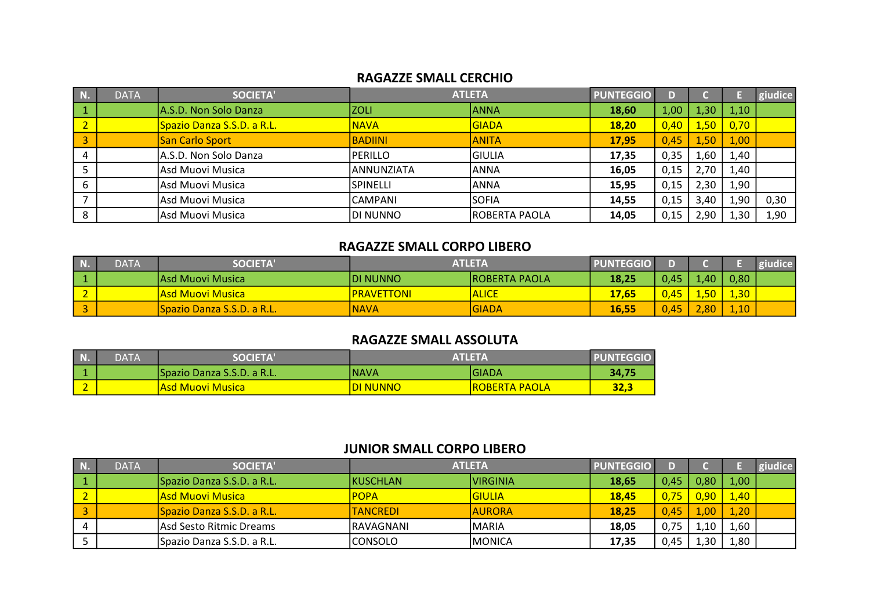#### RAGAZZE SMALL CERCHIO

| N. | <b>DATA</b> | <b>SOCIETA'</b>            |                 | <b>ATLETA</b>        | <b>PUNTEGGIO</b> | D)   |       |      | giudice |
|----|-------------|----------------------------|-----------------|----------------------|------------------|------|-------|------|---------|
|    |             | A.S.D. Non Solo Danza      | <b>IZOLI</b>    | <b>ANNA</b>          | 18,60            | 1,00 | 1,307 | 1,10 |         |
|    |             | Spazio Danza S.S.D. a R.L. | <b>NAVA</b>     | <b>GIADA</b>         | 18,20            | 0,40 | 1,50  | 0,70 |         |
|    |             | San Carlo Sport            | <b>BADIINI</b>  | <b>ANITA</b>         | 17,95            | 0,45 | 1.50  | 1,00 |         |
|    |             | A.S.D. Non Solo Danza      | PERILLO         | IGIULIA              | 17,35            | 0,35 | 1,60  | 1,40 |         |
|    |             | Asd Muovi Musica           | ANNUNZIATA      | <b>ANNA</b>          | 16,05            | 0,15 | 2,70  | 1,40 |         |
| b  |             | Asd Muovi Musica           | <b>SPINELLI</b> | <b>ANNA</b>          | 15,95            | 0,15 | 2,30  | 1,90 |         |
|    |             | Asd Muovi Musica           | CAMPANI         | <b>SOFIA</b>         | 14,55            | 0,15 | 3,40  | 1,90 | 0,30    |
| 8  |             | Asd Muovi Musica           | DI NUNNO        | <b>ROBERTA PAOLA</b> | 14,05            | 0,15 | 2,90  | 1,30 | 1,90    |

#### RAGAZZE SMALL CORPO LIBERO

| <b>DATA</b> | <b>SOCIETA'</b>                   | ATLETA            |                       | <b>PUNTEGGIO</b> |      |                       |                |  |
|-------------|-----------------------------------|-------------------|-----------------------|------------------|------|-----------------------|----------------|--|
|             | IAsd Muovi Musica                 | <b>IDI NUNNO</b>  | <b>IROBERTA PAOLA</b> | 18,25            | 0.45 | .40                   | 0,80           |  |
|             | lAsd Muovi Musical                | <b>PRAVETTONI</b> | <b>ALICE</b>          | 17,65            | 0,45 | 50 <sub>1</sub><br>-- | $\frac{1}{30}$ |  |
|             | <b>Spazio Danza S.S.D. a R.L.</b> | <b>NAVA</b>       | IGIADA                | 16.55            | 0.45 | .80                   | 1,10           |  |

#### RAGAZZE SMALL ASSOLUTA

| N. | <b>DATA</b> | <b>SOCIETA</b>             | ATLETA           | <b>PUNTEGGIO</b>      |       |
|----|-------------|----------------------------|------------------|-----------------------|-------|
|    |             | Spazio Danza S.S.D. a R.L. | <b>INAVA</b>     | IGIADA                | 34,75 |
|    |             | lAsd Muovi Musical         | <u>IDI NUNNO</u> | <u>IROBERTA PAOLA</u> | 32,3  |

#### JUNIOR SMALL CORPO LIBERO

| <b>DATA</b> | <b>SOCIETA'</b>             | <b>ATLETA</b>    |                  | <b>PUNTEGGIO</b> |      |            |      | giudice |
|-------------|-----------------------------|------------------|------------------|------------------|------|------------|------|---------|
|             | lSpazio Danza S.S.D. a R.L. | <b>IKUSCHLAN</b> | <b>IVIRGINIA</b> | 18,65            | 0,45 | $0.80^{+}$ | 1,00 |         |
|             | lAsd Muovi Musica I         | <b>POPA</b>      | <b>GIULIA</b>    | <b>18.45</b>     | 0,75 |            | 1,40 |         |
|             | lSpazio Danza S.S.D. a R.L. | <b>TANCREDI</b>  | <b>AURORA</b>    | 18.25            | 0.45 |            | 1,20 |         |
|             | lAsd Sesto Ritmic Dreams    | IRAVAGNANI       | IMARIA           | 18,05            | 0,75 | 1.10       | 1,60 |         |
|             | Spazio Danza S.S.D. a R.L.  | <b>CONSOLO</b>   | IMONICA          | 17,35            | 0,45 | 30         | 1,80 |         |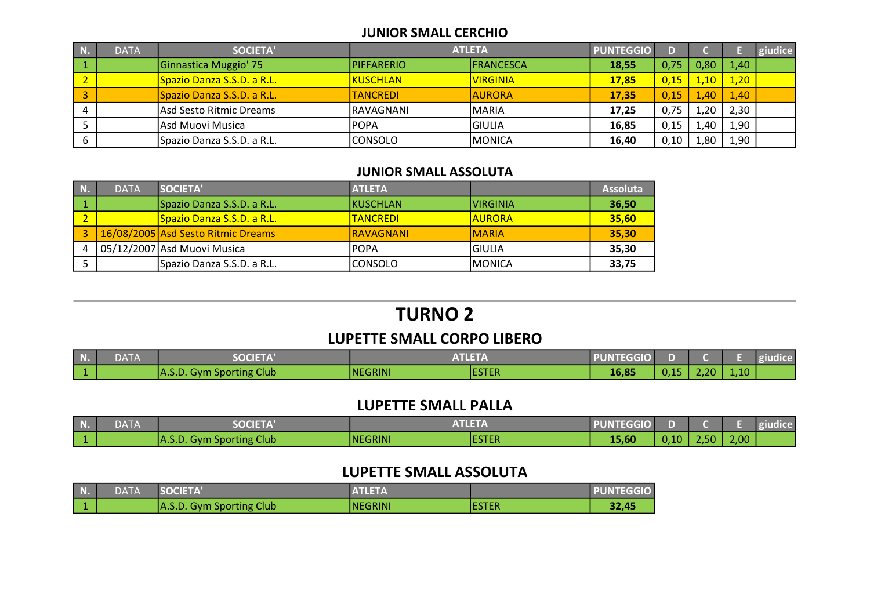#### JUNIOR SMALL CERCHIO

| N. | <b>DATA</b> | <b>SOCIETA'</b>            | <b>ATLETA</b>     |                  | <b>PUNTEGGIO</b> |      |      |      | giudice |
|----|-------------|----------------------------|-------------------|------------------|------------------|------|------|------|---------|
|    |             | Ginnastica Muggio' 75      | <b>PIFFARERIO</b> | <b>FRANCESCA</b> | 18,55            | 0,75 |      | 1,40 |         |
|    |             | Spazio Danza S.S.D. a R.L. | <b>KUSCHLAN</b>   | <b>VIRGINIA</b>  | <b>17,85</b>     | 0,15 | 1.10 | 1,20 |         |
|    |             | Spazio Danza S.S.D. a R.L. | <b>TANCREDI</b>   | <b>AURORA</b>    | 17.35            | 0,15 | 1.40 | 1,40 |         |
|    |             | Asd Sesto Ritmic Dreams    | IRAVAGNANI        | IMARIA           | 17.25            | 0,75 | .20  | 2,30 |         |
|    |             | Asd Muovi Musica           | <b>POPA</b>       | IGIULIA          | 16,85            | 0,15 | 1.40 | 1,90 |         |
|    |             | Spazio Danza S.S.D. a R.L. | CONSOLO           | <b>MONICA</b>    | 16,40            | 0,10 | 1.80 | 1,90 |         |

#### JUNIOR SMALL ASSOLUTA

| N. | <b>DATA</b> | SOCIETA'                                 | <b>ATLETA</b>    |               | <b>Assoluta</b> |
|----|-------------|------------------------------------------|------------------|---------------|-----------------|
|    |             | Spazio Danza S.S.D. a R.L.               | <b>IKUSCHLAN</b> | IVIRGINIA     | 36,50           |
|    |             | <mark>lSpazio Danza S.S.D. a R.L.</mark> | <b>ITANCREDI</b> | <b>AURORA</b> | 35,60           |
|    |             | 16/08/2005 Asd Sesto Ritmic Dreams       | <b>RAVAGNANI</b> | <b>IMARIA</b> | 35,30           |
|    |             | 05/12/2007 Asd Muovi Musica              | <b>IPOPA</b>     | IGIULIA       | 35,30           |
|    |             | Spazio Danza S.S.D. a R.L.               | ICONSOLO         | IMONICA       | 33,75           |

# LUPETTE SMALL CORPO LIBERO TURNO 2

| $\blacksquare$ N. | <b>DATA</b> | <b>SOCIETA'</b>          | <b>ATLETA</b>  |              | <b>PUNTEGGIO</b> |      |      |      | giudice |
|-------------------|-------------|--------------------------|----------------|--------------|------------------|------|------|------|---------|
|                   |             | A.S.D. Gym Sporting Club | <b>NEGRINI</b> | <b>ESTER</b> | 16,85            | 0,15 | 2,20 | 1,10 |         |

#### LUPETTE SMALL PALLA

| N.        | DATA | <b>SOCIETA'</b>                | <b>ATLETA</b>  |               | <b>PUNTEGGIO</b> |      |      |      |  |
|-----------|------|--------------------------------|----------------|---------------|------------------|------|------|------|--|
| $\vert$ 1 |      | . Gym Sporting Club<br>IA.S.D. | <b>NEGRINI</b> | <b>IESTER</b> | 15,60            | 0,10 | 2,50 | 2,00 |  |

#### LUPETTE SMALL ASSOLUTA

| <b>DATA</b> | <b>SOCIETA</b>           | <b>ATLETA</b> |               | <b>PUNTEGGIO</b> |
|-------------|--------------------------|---------------|---------------|------------------|
|             | A.S.D. Gym Sporting Club | INEGRINI      | <b>IESTER</b> | 32,45            |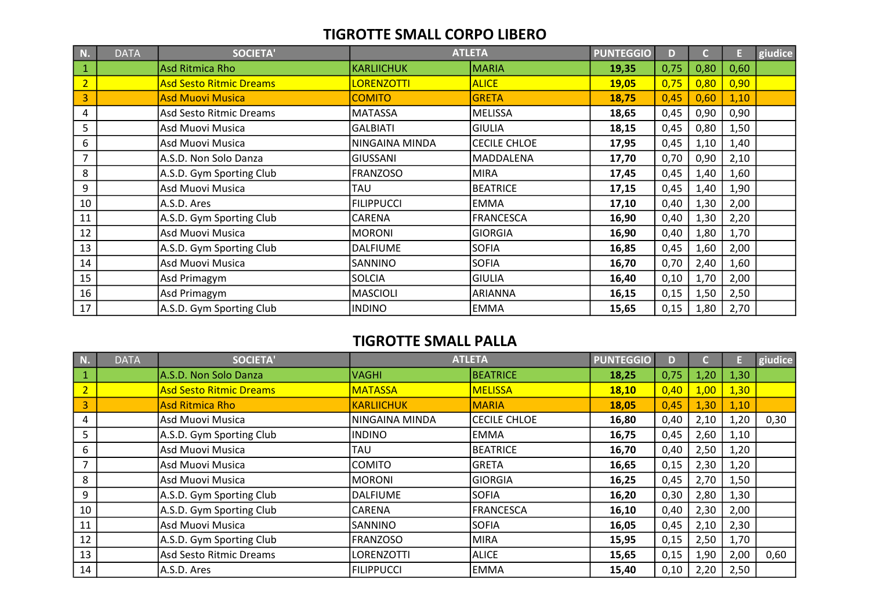#### TIGROTTE SMALL CORPO LIBERO

| N.             | <b>DATA</b> | <b>SOCIETA'</b>                |                   | <b>ATLETA</b>       | <b>PUNTEGGIO</b> | D.   | C.   | E,   | giudice |
|----------------|-------------|--------------------------------|-------------------|---------------------|------------------|------|------|------|---------|
| $\mathbf{1}$   |             | <b>Asd Ritmica Rho</b>         | KARLIICHUK        | <b>MARIA</b>        | 19,35            | 0,75 | 0,80 | 0,60 |         |
| $\overline{2}$ |             | <b>Asd Sesto Ritmic Dreams</b> | <b>LORENZOTTI</b> | <b>ALICE</b>        | 19,05            | 0,75 | 0,80 | 0,90 |         |
| $\overline{3}$ |             | <b>Asd Muovi Musica</b>        | <b>COMITO</b>     | <b>GRETA</b>        | 18,75            | 0,45 | 0,60 | 1,10 |         |
| 4              |             | Asd Sesto Ritmic Dreams        | MATASSA           | <b>MELISSA</b>      | 18,65            | 0,45 | 0,90 | 0,90 |         |
| 5              |             | Asd Muovi Musica               | <b>GALBIATI</b>   | <b>GIULIA</b>       | 18,15            | 0,45 | 0,80 | 1,50 |         |
| 6              |             | Asd Muovi Musica               | NINGAINA MINDA    | <b>CECILE CHLOE</b> | 17,95            | 0,45 | 1,10 | 1,40 |         |
| $\overline{7}$ |             | A.S.D. Non Solo Danza          | <b>GIUSSANI</b>   | MADDALENA           | 17,70            | 0,70 | 0,90 | 2,10 |         |
| 8              |             | A.S.D. Gym Sporting Club       | <b>FRANZOSO</b>   | <b>MIRA</b>         | 17,45            | 0,45 | 1,40 | 1,60 |         |
| 9              |             | Asd Muovi Musica               | <b>TAU</b>        | <b>BEATRICE</b>     | 17,15            | 0,45 | 1,40 | 1,90 |         |
| 10             |             | A.S.D. Ares                    | <b>FILIPPUCCI</b> | <b>EMMA</b>         | 17,10            | 0,40 | 1,30 | 2,00 |         |
| 11             |             | A.S.D. Gym Sporting Club       | <b>CARENA</b>     | <b>FRANCESCA</b>    | 16,90            | 0,40 | 1,30 | 2,20 |         |
| 12             |             | Asd Muovi Musica               | MORONI            | <b>GIORGIA</b>      | 16,90            | 0,40 | 1,80 | 1,70 |         |
| 13             |             | A.S.D. Gym Sporting Club       | <b>DALFIUME</b>   | <b>SOFIA</b>        | 16,85            | 0,45 | 1,60 | 2,00 |         |
| 14             |             | Asd Muovi Musica               | SANNINO           | <b>SOFIA</b>        | 16,70            | 0,70 | 2,40 | 1,60 |         |
| 15             |             | Asd Primagym                   | <b>SOLCIA</b>     | <b>GIULIA</b>       | 16,40            | 0,10 | 1,70 | 2,00 |         |
| 16             |             | Asd Primagym                   | <b>MASCIOLI</b>   | <b>ARIANNA</b>      | 16,15            | 0,15 | 1,50 | 2,50 |         |
| 17             |             | A.S.D. Gym Sporting Club       | <b>INDINO</b>     | EMMA                | 15,65            | 0,15 | 1,80 | 2,70 |         |

## TIGROTTE SMALL PALLA

| N.             | <b>DATA</b> | <b>SOCIETA'</b>                |                   | <b>ATLETA</b>       | <b>PUNTEGGIO</b> | D    |      |      | giudice |
|----------------|-------------|--------------------------------|-------------------|---------------------|------------------|------|------|------|---------|
|                |             | A.S.D. Non Solo Danza          | VAGHI             | BEATRICE            | 18,25            | 0,75 | 1,20 | 1,30 |         |
| $\overline{2}$ |             | <b>Asd Sesto Ritmic Dreams</b> | <b>MATASSA</b>    | <b>MELISSA</b>      | 18,10            | 0,40 | 1,00 | 1,30 |         |
| 3              |             | <b>Asd Ritmica Rho</b>         | KARLIICHUK        | <b>MARIA</b>        | 18,05            | 0,45 | 1,30 | 1,10 |         |
| 4              |             | Asd Muovi Musica               | NINGAINA MINDA    | <b>CECILE CHLOE</b> | 16,80            | 0,40 | 2,10 | 1,20 | 0,30    |
| 5              |             | A.S.D. Gym Sporting Club       | IINDINO           | lemma               | 16,75            | 0,45 | 2,60 | 1,10 |         |
| 6              |             | Asd Muovi Musica               | TAU               | IBEATRICE           | 16,70            | 0,40 | 2,50 | 1,20 |         |
|                |             | Asd Muovi Musica               | ICOMITO           | IGRETA              | 16,65            | 0,15 | 2,30 | 1,20 |         |
| 8              |             | Asd Muovi Musica               | <b>MORONI</b>     | GIORGIA             | 16,25            | 0,45 | 2,70 | 1,50 |         |
| 9              |             | A.S.D. Gym Sporting Club       | <b>DALFIUME</b>   | <b>SOFIA</b>        | 16,20            | 0,30 | 2,80 | 1,30 |         |
| 10             |             | A.S.D. Gym Sporting Club       | ICARENA           | <b>FRANCESCA</b>    | 16,10            | 0,40 | 2,30 | 2,00 |         |
| 11             |             | Asd Muovi Musica               | SANNINO           | <b>SOFIA</b>        | 16,05            | 0,45 | 2,10 | 2,30 |         |
| 12             |             | A.S.D. Gym Sporting Club       | IFRANZOSO         | MIRA                | 15,95            | 0,15 | 2,50 | 1,70 |         |
| 13             |             | Asd Sesto Ritmic Dreams        | <b>LORENZOTTI</b> | <b>ALICE</b>        | 15,65            | 0,15 | 1,90 | 2,00 | 0,60    |
| 14             |             | A.S.D. Ares                    | I FILIPPUCCI      | lemma               | 15,40            | 0,10 | 2,20 | 2,50 |         |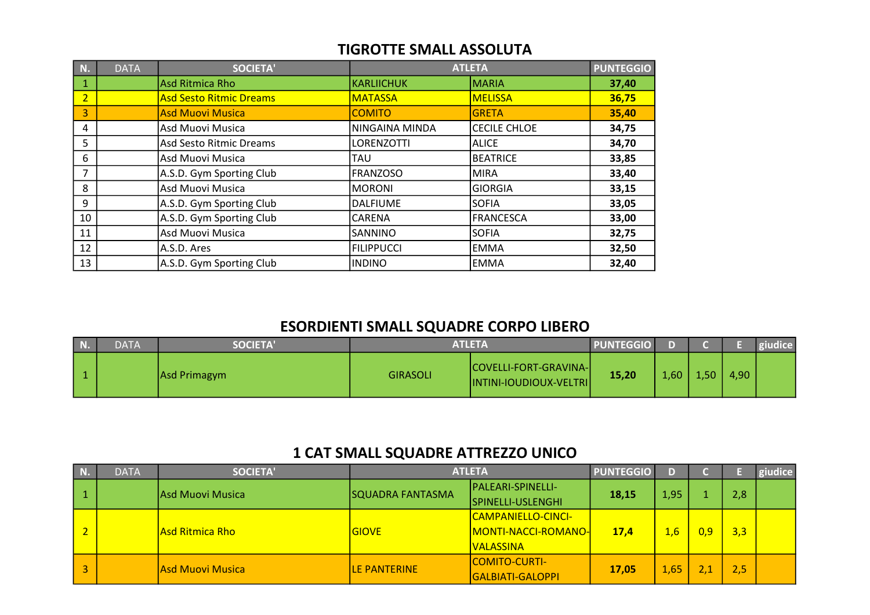### TIGROTTE SMALL ASSOLUTA

| N.             | <b>DATA</b> | <b>SOCIETA'</b>                |                   | <b>ATLETA</b>       | <b>PUNTEGGIO</b> |
|----------------|-------------|--------------------------------|-------------------|---------------------|------------------|
| 1              |             | Asd Ritmica Rho                | <b>KARLIICHUK</b> | <b>MARIA</b>        | 37,40            |
| $\overline{2}$ |             | <b>Asd Sesto Ritmic Dreams</b> | <b>MATASSA</b>    | <b>MELISSA</b>      | 36,75            |
| 3              |             | <b>Asd Muovi Musica</b>        | <b>COMITO</b>     | <b>GRETA</b>        | 35,40            |
| 4              |             | Asd Muovi Musica               | NINGAINA MINDA    | <b>CECILE CHLOE</b> | 34,75            |
| 5              |             | Asd Sesto Ritmic Dreams        | <b>LORENZOTTI</b> | ALICE               | 34,70            |
| 6              |             | Asd Muovi Musica               | <b>TAU</b>        | BEATRICE            | 33,85            |
| 7              |             | A.S.D. Gym Sporting Club       | <b>FRANZOSO</b>   | MIRA                | 33,40            |
| 8              |             | Asd Muovi Musica               | <b>MORONI</b>     | GIORGIA             | 33,15            |
| 9              |             | A.S.D. Gym Sporting Club       | <b>DALFIUME</b>   | <b>SOFIA</b>        | 33,05            |
| 10             |             | A.S.D. Gym Sporting Club       | <b>CARENA</b>     | <b>FRANCESCA</b>    | 33,00            |
| 11             |             | Asd Muovi Musica               | <b>SANNINO</b>    | <b>SOFIA</b>        | 32,75            |
| 12             |             | A.S.D. Ares                    | FILIPPUCCI        | <b>EMMA</b>         | 32,50            |
| 13             |             | A.S.D. Gym Sporting Club       | <b>INDINO</b>     | <b>EMMA</b>         | 32,40            |

# ESORDIENTI SMALL SQUADRE CORPO LIBERO

| N. | <b>DATA</b> | <b>SOCIETA'</b> |                 | <b>ATLETA</b>                                           | <b>PUNTEGGIO</b> |      |       |      | giudice |
|----|-------------|-----------------|-----------------|---------------------------------------------------------|------------------|------|-------|------|---------|
|    |             | Asd Primagym    | <b>GIRASOLI</b> | COVELLI-FORT-GRAVINA-<br><b>INTINI-IOUDIOUX-VELTRII</b> | 15,20            | 1,60 | 4,507 | 4,90 |         |

# 1 CAT SMALL SQUADRE ATTREZZO UNICO

| N.             | <b>DATA</b> | <b>SOCIETA'</b>  |                         | <b>ATLETA</b>               | <b>PUNTEGGIO</b> | D    |     |                   | giudice |
|----------------|-------------|------------------|-------------------------|-----------------------------|------------------|------|-----|-------------------|---------|
|                |             | Asd Muovi Musica | <b>SQUADRA FANTASMA</b> | <b>PALEARI-SPINELLI-</b>    | 18,15            | 1,95 |     |                   |         |
|                |             |                  | SPINELLI-USLENGHI       |                             |                  |      |     |                   |         |
|                |             |                  |                         | <u> CAMPANIELLO-CINCI-</u>  |                  |      |     |                   |         |
| $\overline{2}$ |             | Asd Ritmica Rho  | <b>GIOVE</b>            | <u> MONTI-NACCI-ROMANO-</u> | 17,4             | 1,6  | 0.9 | 3,3               |         |
|                |             |                  |                         | <b>VALASSINA</b>            |                  |      |     |                   |         |
|                |             | Asd Muovi Musica | LE PANTERINE            | <b>ICOMITO-CURTI-</b>       |                  |      |     |                   |         |
| 3              |             |                  |                         | GALBIATI-GALOPPI            | 17.05            | 1,65 |     | 2,8<br>2,5<br>2.1 |         |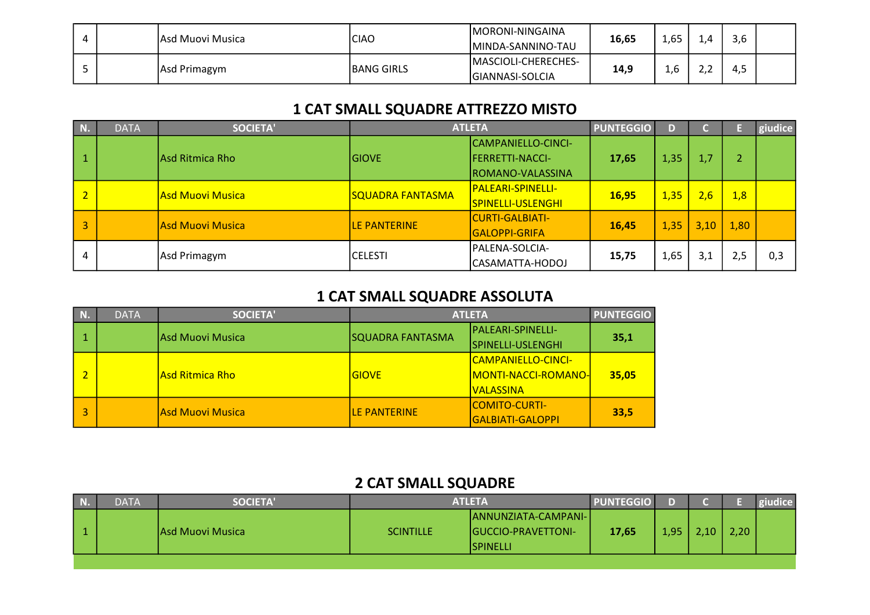|  | lAsd Muovi Musica | <b>CIAO</b>       | IMORONI-NINGAINA<br>MINDA-SANNINO-TAU          | 16,65 | 1,65 |       | 3,6 |  |
|--|-------------------|-------------------|------------------------------------------------|-------|------|-------|-----|--|
|  | Asd Primagym      | <b>BANG GIRLS</b> | <b>MASCIOLI-CHERECHES-</b><br>IGIANNASI-SOLCIA | 14,9  | 1,6  | ے . ۔ | 4,0 |  |

# 1 CAT SMALL SQUADRE ATTREZZO MISTO

| N.                      | <b>DATA</b> | <b>SOCIETA'</b>         |                         | <b>ATLETA</b>                                                            | <b>PUNTEGGIO</b> | D    |      |      | giudice |
|-------------------------|-------------|-------------------------|-------------------------|--------------------------------------------------------------------------|------------------|------|------|------|---------|
| $\vert$ 1               |             | Asd Ritmica Rho         | <b>GIOVE</b>            | CAMPANIELLO-CINCI-<br><b>IFERRETTI-NACCI-</b><br><b>ROMANO-VALASSINA</b> | 17,65            | 1,35 | 1,7  |      |         |
| $\vert$ 2               |             | <b>Asd Muovi Musica</b> | <b>SQUADRA FANTASMA</b> | <b>PALEARI-SPINELLI-</b><br>SPINELLI-USLENGHI                            | 16,95            | 1,35 | 2,6  | 1,8  |         |
| $\overline{\mathbf{3}}$ |             | Asd Muovi Musica        | LE PANTERINE            | <b>CURTI-GALBIATI-</b><br><b>GALOPPI-GRIFA</b>                           | 16,45            | 1,35 | 3,10 | 1,80 |         |
| 4                       |             | Asd Primagym            | ICELESTI                | PALENA-SOLCIA-<br> CASAMATTA-HODOJ                                       | 15,75            | 1,65 | 3,1  | 2.5  | 0,3     |

# 1 CAT SMALL SQUADRE ASSOLUTA

| N. | <b>DATA</b> | <b>SOCIETA'</b>  |                   | <b>ATLETA</b>               | <b>PUNTEGGIO</b>      |
|----|-------------|------------------|-------------------|-----------------------------|-----------------------|
|    |             | Asd Muovi Musica | SQUADRA FANTASMA  | <b>IPALEARI-SPINELLI-</b>   |                       |
|    |             |                  | SPINELLI-USLENGHI |                             |                       |
|    |             |                  |                   | <b>CAMPANIELLO-CINCI-</b>   |                       |
|    |             | lAsd Ritmica Rho | <b>GIOVE</b>      | <u> MONTI-NACCI-ROMANO-</u> | 35,1<br>35,05<br>33,5 |
|    |             |                  |                   | <u>IVALASSINA</u>           |                       |
|    |             |                  |                   | <b>COMITO-CURTI-</b>        |                       |
|    |             | Asd Muovi Musica | LE PANTERINE      | <b>GALBIATI-GALOPPI</b>     |                       |

# 2 CAT SMALL SQUADRE

| ANNUNZIATA-CAMPANI- <br>2,20<br>1,95<br>$10^{-1}$<br>17,65<br><b>SCINTILLE</b><br>lAsd Muovi Musica<br><b>IGUCCIO-PRAVETTONI-</b><br><b>ISPINELLI</b> | N. | <b>DATA</b> | <b>SOCIETA'</b> | <b>ATLETA</b> | <b>PUNTEGGIO</b> |  | giudice |
|-------------------------------------------------------------------------------------------------------------------------------------------------------|----|-------------|-----------------|---------------|------------------|--|---------|
|                                                                                                                                                       |    |             |                 |               |                  |  |         |
|                                                                                                                                                       |    |             |                 |               |                  |  |         |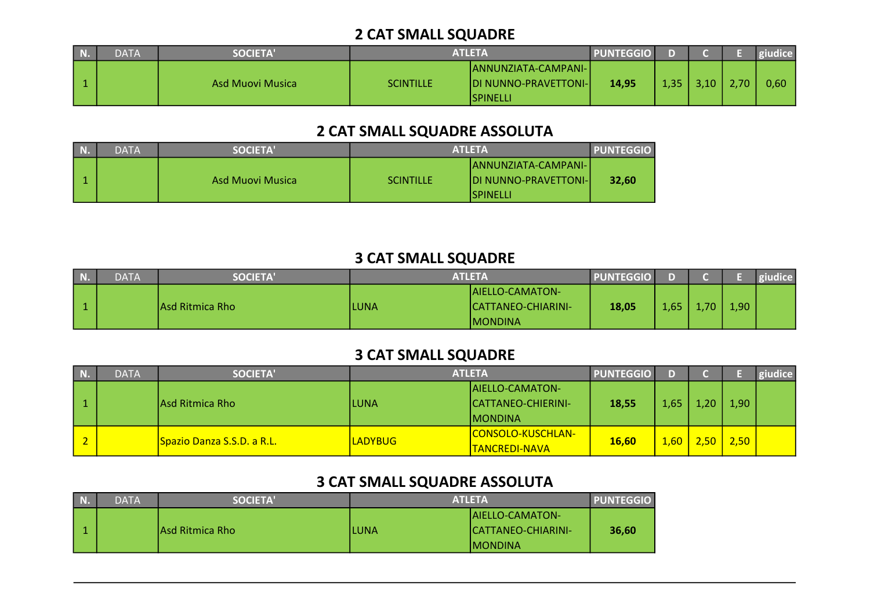# 2 CAT SMALL SQUADRE

| DATA | <b>SOCIETA'</b>  |                  | ATLETA                                                            | <b>PUNTEGGIO</b> |      |      |                   | giudice |
|------|------------------|------------------|-------------------------------------------------------------------|------------------|------|------|-------------------|---------|
|      | Asd Muovi Musica | <b>SCINTILLE</b> | ANNUNZIATA-CAMPANI-<br><b>IDI NUNNO-PRAVETTONI-I</b><br>ISPINELLI | 14,95            | .35/ | 3.10 | 2.70 <sub>1</sub> | 0,60    |

# 2 CAT SMALL SQUADRE ASSOLUTA

| DATA | <b>SOCIETA'</b>  |                  | <b>ATLETA</b>                                                                     | <b>PUNTEGGIO</b> |
|------|------------------|------------------|-----------------------------------------------------------------------------------|------------------|
|      | Asd Muovi Musica | <b>SCINTILLE</b> | <b>JANNUNZIATA-CAMPANI-I</b><br><b>IDI NUNNO-PRAVETTONI-I</b><br><b>ISPINELLI</b> | 32,60            |

# 3 CAT SMALL SQUADRE

| N | <b>DATA</b> | <b>SOCIETA'</b>  |             | ATLETA                     | <b>PUNTEGGIO</b> |      |    |      | giudice |
|---|-------------|------------------|-------------|----------------------------|------------------|------|----|------|---------|
|   |             |                  |             | <b>IAIELLO-CAMATON-</b>    |                  |      |    |      |         |
|   |             | lAsd Ritmica Rho | <b>LUNA</b> | <b>ICATTANEO-CHIARINI-</b> | 18,05            | 1,65 | 70 | 1,90 |         |
|   |             |                  |             | <b>IMONDINA</b>            |                  |      |    |      |         |

# 3 CAT SMALL SQUADRE

| N.     | <b>DATA</b> | <b>SOCIETA'</b>                         |                                        | <b>ATLETA</b>              | <b>PUNTEGGIO</b> | D.   |     |      | giudice |
|--------|-------------|-----------------------------------------|----------------------------------------|----------------------------|------------------|------|-----|------|---------|
|        |             |                                         |                                        | <b>AIELLO-CAMATON-</b>     |                  |      |     |      |         |
|        |             | Asd Ritmica Rho                         | ILUNA                                  | <b>CATTANEO-CHIERINI-</b>  | 18,55            | 1,65 | .20 | 1,90 |         |
|        |             |                                         |                                        | <b>MONDINA</b>             |                  |      |     |      |         |
| $\sim$ |             |                                         |                                        | <u> CONSOLO-KUSCHLAN-_</u> | <b>16.60</b>     |      | 50. |      |         |
|        |             | <mark>Spazio Danza S.S.D. a R.L.</mark> | <b>LADYBUG</b><br><b>TANCREDI-NAVA</b> |                            |                  | 1,60 |     | 2,50 |         |

# 3 CAT SMALL SQUADRE ASSOLUTA

| N. | DATA' | <b>SOCIETA'</b>  |      | <b>ATLETA</b>           | <b>PUNTEGGIO</b> |
|----|-------|------------------|------|-------------------------|------------------|
|    |       |                  |      | <b>IAIELLO-CAMATON-</b> |                  |
|    |       | IAsd Ritmica Rho | LUNA | ICATTANEO-CHIARINI-     | 36,60            |
|    |       |                  |      | IMONDINA                |                  |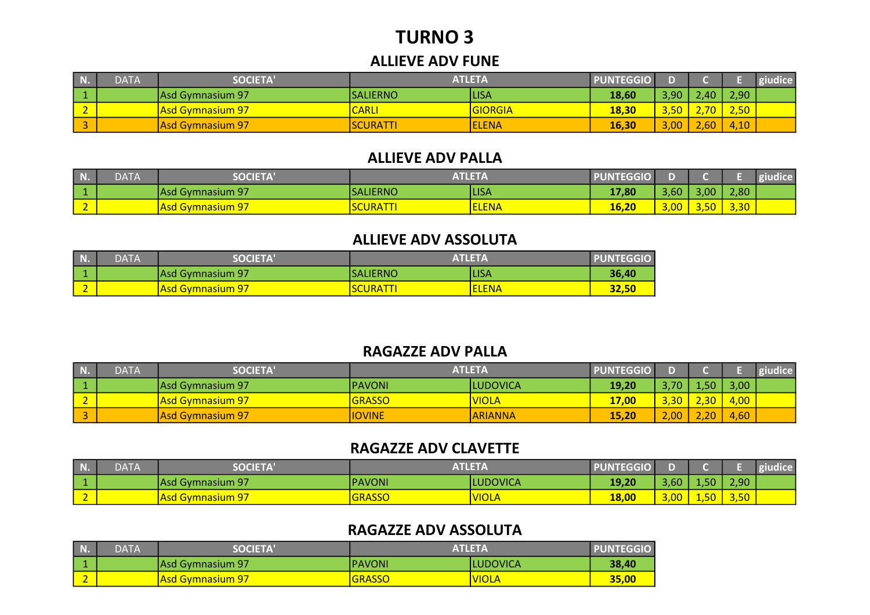# TURNO 3

#### ALLIEVE ADV FUNE

| N.          | <b>DATA</b> | <b>SOCIETA</b>   |                  | ATLETA       | <b>PUNTEGGIO</b> |       |                            |      | giudice |
|-------------|-------------|------------------|------------------|--------------|------------------|-------|----------------------------|------|---------|
|             |             | Asd Gymnasium 97 | <b>ISALIERNO</b> | <b>ILISA</b> | 18,60            | 3,90  | 40 <sup>°</sup>            | 2,90 |         |
| $\sim$<br>- |             | Asd Gymnasium 97 | <b>CARLI</b>     | GIORGIA      | 18,30            | 3,50/ | 70 <sub>1</sub>            | 2,50 |         |
| $\sim$      |             | Asd Gymnasium 97 | <b>SCURATTI</b>  | <b>ELENA</b> | 16,30            | 3,00  | .60 <sub>l</sub><br>$\sim$ | 4,10 |         |

#### ALLIEVE ADV PALLA

| N.     | <b>DATA</b> | <b>SOCIETA</b>          |                  | ATLETA      | <b>PUNTEGGIO</b> |                            |                   |      | giudice |
|--------|-------------|-------------------------|------------------|-------------|------------------|----------------------------|-------------------|------|---------|
|        |             | Asd Gymnasium 97        | <b>ISALIERNO</b> | <b>LISA</b> | 17,80            | 3,60                       | 3,00              | 2,80 |         |
| $\sim$ |             | <b>Asd Gymnasium 97</b> | <b>SCURATTI</b>  | <b>LENA</b> | 16,20            | $\Omega$<br><u>3,00 - </u> | <b>FO</b><br>3,5U | 3,30 |         |

#### ALLIEVE ADV ASSOLUTA

| N. | <b>DATA</b> | <b>SOCIETA'</b>         | <b>ATLETA</b>   |              | <b>PUNTEGGIO</b> |
|----|-------------|-------------------------|-----------------|--------------|------------------|
|    |             | Asd Gymnasium 97        | ISALIERNO       | <b>LISA</b>  | 36,40            |
|    |             | <b>Asd Gymnasium 97</b> | <b>SCURATTI</b> | <b>ELENA</b> | 32,50            |

#### RAGAZZE ADV PALLA

| N. | <b>DATA</b> | <b>SOCIETA'</b>          |               | ATLETA          | <b>PUNTEGGIO</b> |                   |                           |      | giudice |
|----|-------------|--------------------------|---------------|-----------------|------------------|-------------------|---------------------------|------|---------|
|    |             | lAsd Gvmnasium 97        | IPAVONI       | <b>LUDOVICA</b> | 19,20            | 3,70              | .50                       | 3,00 |         |
|    |             | <u> Asd Gymnasium 97</u> | <b>GRASSO</b> | <b>VIOLA</b>    | 17,00            | 3.30 <sub>1</sub> | , 30/<br>- -              | 4,00 |         |
|    |             | Asd Gymnasium 97         | <b>IOVINE</b> | <b>ARIANNA</b>  | 15,20            | $\sim$<br>2,00    | 20 <sub>2</sub><br>$\sim$ | 4,60 |         |

## RAGAZZE ADV CLAVETTE

| <b>INTE</b><br>NĿ             | <b>DATA</b> | <b>SOCIETA'</b>          | <b>ATLETA</b> |                  | <b>PUNTEGGIO</b> |                |       |      |  |
|-------------------------------|-------------|--------------------------|---------------|------------------|------------------|----------------|-------|------|--|
| . .                           |             | Asd Gymnasium 97         | <b>PAVONI</b> | <b>ILUDOVICA</b> | 19,20            | 3,60           | 1,50. | 2,90 |  |
| $\overline{\phantom{a}}$<br>- |             | <u> Asd Gymnasium 97</u> | GRASSO        | <b>VIOLA</b>     | 18,00            | $\sim$<br>3,00 | 1,50  | 3,50 |  |

### RAGAZZE ADV ASSOLUTA

| $\overline{\mathbf{M}}$<br>. NO | <b>DATA</b> | <b>SOCIETA</b>           | <b>ATLETA</b> |              | <b>PUNTEGGIO</b> |
|---------------------------------|-------------|--------------------------|---------------|--------------|------------------|
|                                 |             | <b>IAsd Gymnasium 97</b> | IPAVONI       | ILUDOVICA    | 38,40            |
| -                               |             | <b>Asd Gymnasium 97</b>  | <b>GRASSO</b> | <b>VIOLA</b> | 35,00            |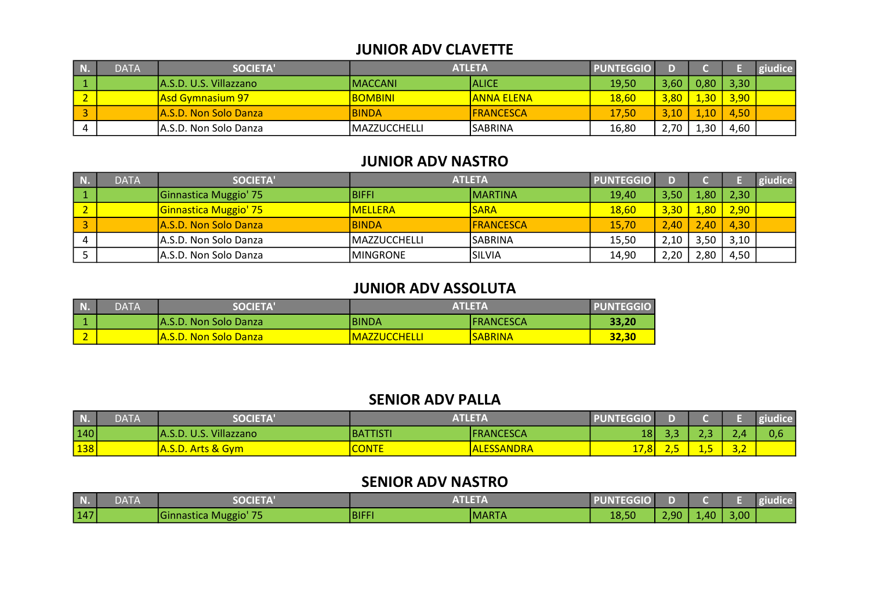#### JUNIOR ADV CLAVETTE

| N.             | <b>DATA</b> | <b>SOCIETA'</b>               |                 | <b>ATLETA</b>      | <b>PUNTEGGIO</b> |      |               |      | giudice |
|----------------|-------------|-------------------------------|-----------------|--------------------|------------------|------|---------------|------|---------|
|                |             | IA.S.D. U.S. Villazzano       | <b>IMACCANI</b> | IALICE             | 19,50            | 3,60 | 0.80          | 3,30 |         |
| <b>Section</b> |             | <b>Asd Gymnasium 97</b>       | <b>BOMBINI</b>  | <u>IANNA ELENA</u> | 18,60            | 3,80 | $\sqrt{4,30}$ | 3,90 |         |
| $\sim$         |             | <b>JA.S.D. Non Solo Danza</b> | <b>BINDA</b>    | <b>IFRANCESCA</b>  | 17,50            | 3,10 | 10            | 4,50 |         |
| 4              |             | IA.S.D. Non Solo Danza        | IMAZZUCCHELLI   | <b>ISABRINA</b>    | 16,80            | 2,70 | 30            | 4,60 |         |

#### JUNIOR ADV NASTRO

| <b>DATA</b> | <b>SOCIETA'</b>        |                | <b>ATLETA</b>    | <b>PUNTEGGIO</b> |      |      |       | giudice |
|-------------|------------------------|----------------|------------------|------------------|------|------|-------|---------|
|             | Ginnastica Muggio' 75  | <b>BIFFI</b>   | <b>IMARTINA</b>  | 19,40            | 3,50 | 2,80 | 2,30  |         |
|             | Ginnastica Muggio' 75  | <b>MELLERA</b> | <b>SARA</b>      | <b>18,60</b>     | 3,30 | 1,80 | 2,90  |         |
|             | IA.S.D. Non Solo Danza | <b>BINDA</b>   | <b>FRANCESCA</b> | 15.70            | 2,40 | 2.40 | 4,30/ |         |
|             | IA.S.D. Non Solo Danza | IMAZZUCCHELLI  | <b>ISABRINA</b>  | 15,50            | 2,10 | 3,50 | 3,10  |         |
|             | IA.S.D. Non Solo Danza | IMINGRONE      | ISILVIA          | 14,90            | 2,20 | 2,80 | 4,50  |         |

#### JUNIOR ADV ASSOLUTA

| DATA | <b>SOCIETA</b>                 | <b>ATLETA</b>       |                | <b>PUNTEGGIO</b> |
|------|--------------------------------|---------------------|----------------|------------------|
|      | <b>IA.S.D. Non Solo Danza</b>  | IBINDA              | IFRANCESCA     | 33,20            |
|      | <u>IA.S.D. Non Solo Danza-</u> | <b>MAZZUCCHELLI</b> | <b>SABRINA</b> | 32,30            |

#### SENIOR ADV PALLA

| N   | DATA | <b>SOCIETA'</b>            | <b>ATLETA</b> |                   | <b>PUNTEGGIO</b> |                       |                  |                               |     |
|-----|------|----------------------------|---------------|-------------------|------------------|-----------------------|------------------|-------------------------------|-----|
| 140 |      | U.S. Villazzano<br>IA.S.D. | IBATTISTI     | <b>FRANCESCA</b>  | 18               | $\sim$ $\sim$<br>ن, ب | . .<br>ر         | $\sim$<br>$\epsilon$ . $4\pi$ | 0,6 |
| 138 |      | A.S.D. Arts & Gym          | <b>CUNIE</b>  | <b>ALESSANDRA</b> | , 0<br>$\sim$    |                       | <b>Part 1999</b> | $\sim$ $\sim$<br><u>.</u>     |     |

## SENIOR ADV NASTRO

| <b>N.</b> | <b>DATA</b> | <b>SOCIETA'</b>       | <b>ATLETA</b> |        | <b>PUNTEGGIO</b> |      |                   |      | <b>giudice</b> |
|-----------|-------------|-----------------------|---------------|--------|------------------|------|-------------------|------|----------------|
| 147       |             | Ginnastica Muggio' 75 | <b>BIFFI</b>  | IMARTA | 18,50            | 2,90 | 4.40 <sup>3</sup> | 3,00 |                |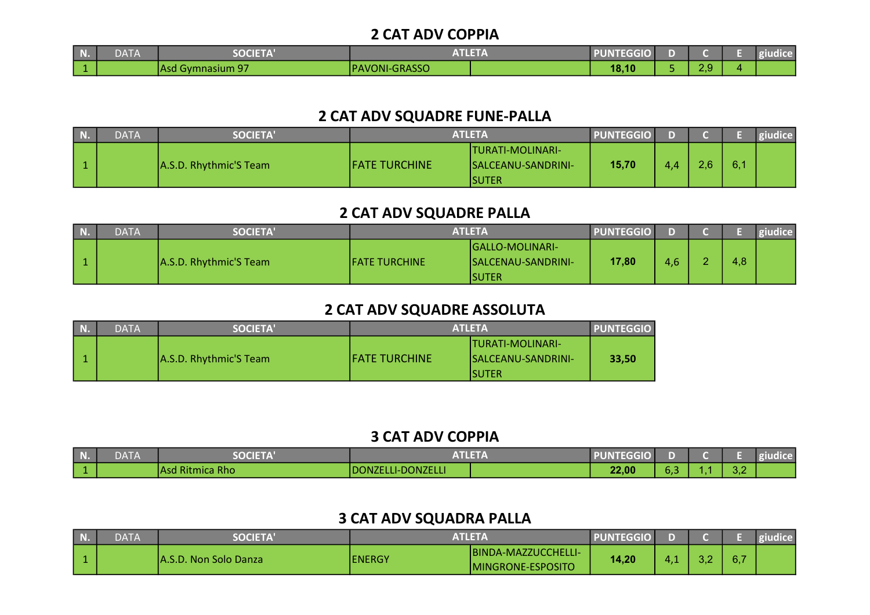#### 2 CAT ADV COPPIA

| N. | $\sim$ $\sim$ $\sim$ $\sim$<br><b>DAIA</b> | <b>SOCIETA</b>                          | <b>Stationary</b><br>99 V. | EGGIU.<br>JINI |                 | $\cdot$ united<br>ш. |
|----|--------------------------------------------|-----------------------------------------|----------------------------|----------------|-----------------|----------------------|
|    |                                            | $\sim$<br>$A$ V $m$<br>nasium 97<br>nou | <b>PAVONI-GRASSO</b>       | 18,10          | റ റ<br><u>.</u> |                      |

#### 2 CAT ADV SQUADRE FUNE-PALLA

| $\overline{\phantom{a}}$ N | <b>DATA</b> | <b>SOCIETA'</b>        | ATLETA                |                                                          | <b>PUNTEGGIO</b> |     |               |          | giudice |
|----------------------------|-------------|------------------------|-----------------------|----------------------------------------------------------|------------------|-----|---------------|----------|---------|
|                            |             | A.S.D. Rhythmic'S Team | <b>IFATE TURCHINE</b> | <b>ITURATI-MOLINARI-</b><br>SALCEANU-SANDRINI-<br>ISUTER | 15,70            | 4.4 | $2.6^{\circ}$ | G.<br>υ. |         |

### 2 CAT ADV SQUADRE PALLA

| <b>DATA</b> | <b>SOCIETA'</b>        | <b>ATLETA</b>  |                                                   | <b>PUNTEGGIO</b> |     |     | giudice |
|-------------|------------------------|----------------|---------------------------------------------------|------------------|-----|-----|---------|
|             | A.S.D. Rhythmic'S Team | IFATE TURCHINE | IGALLO-MOLINARI-<br>ISALCENAU-SANDRINI-<br>ISUTER | 17,80            | 4,6 | 4,8 |         |

### 2 CAT ADV SQUADRE ASSOLUTA

| $N$ . | <b>DATA</b> | <b>SOCIETA'</b>        | <b>ATLETA</b>         | <b>PUNTEGGIO</b>          |       |
|-------|-------------|------------------------|-----------------------|---------------------------|-------|
|       |             |                        |                       | <b>ITURATI-MOLINARI-</b>  |       |
|       |             | A.S.D. Rhythmic'S Team | <b>IFATE TURCHINE</b> | <b>SALCEANU-SANDRINI-</b> | 33.50 |
|       |             |                        |                       | ISUTER                    |       |

### 3 CAT ADV COPPIA

| <b>N.</b> | <b>DATA</b> | <b>OCIETA</b>   |                   |       |     |                                    | $\cdots$ diagonal $\cdots$ |
|-----------|-------------|-----------------|-------------------|-------|-----|------------------------------------|----------------------------|
|           |             | Asd Ritmica Rho | DONZELLI-DONZELLI | 22,00 | 0,3 | $\sim$ $\sim$<br>$\cup$ . $\angle$ |                            |

# 3 CAT ADV SQUADRA PALLA

| $\mid$ N. | DATA | <b>SOCIETA</b>                     | <b>ATLETA</b> |                                           | <b>PUNTEGGIO</b> |     |    |     | "dice" |
|-----------|------|------------------------------------|---------------|-------------------------------------------|------------------|-----|----|-----|--------|
| Гć        |      | . Non Solo Danza<br><b>TA.S.D.</b> | <b>ENERGY</b> | IBINDA-MAZZUCCHELLI-<br>MINGRONE-ESPOSITO | 14,20            | . . | ⊸… | 6,7 |        |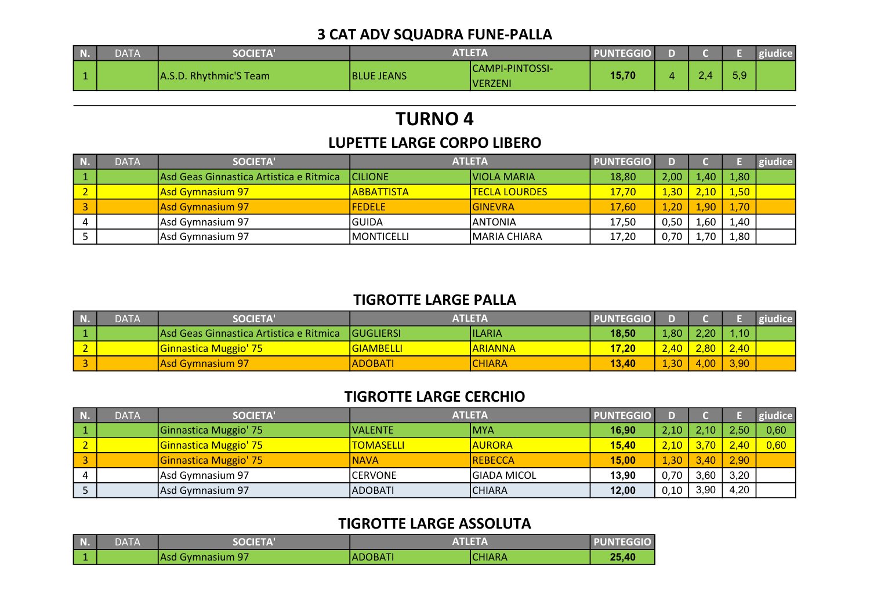## 3 CAT ADV SQUADRA FUNE-PALLA

| $\mid N$ | DATA | <b>SOCIETA</b>         | ATLETA            |                              | <b>PUNTEGGIO</b> |   |     |  |
|----------|------|------------------------|-------------------|------------------------------|------------------|---|-----|--|
|          |      | A.S.D. Rhythmic'S Team | <b>BLUE JEANS</b> | ICAMPI-PINTOSSI-<br>IVERZENI | 15,70            | 4 | 5.9 |  |

# TURNO 4

### LUPETTE LARGE CORPO LIBERO

| <b>DATA</b> | SOCIETA'                                 |                   | <b>ATLETA</b>        | <b>PUNTEGGIO</b> | D).            |                   |      | giudice |
|-------------|------------------------------------------|-------------------|----------------------|------------------|----------------|-------------------|------|---------|
|             | lAsd Geas Ginnastica Artistica e Ritmica | <b>CILIONE</b>    | VIOLA MARIA          | 18,80            | $2,00^{\circ}$ | .40 <sub>l</sub>  | 1,80 |         |
|             | Asd Gymnasium 97                         | <b>ABBATTISTA</b> | <b>TECLA LOURDES</b> | 17,70            | 1,30           | 2.10-             | 1,50 |         |
|             | Asd Gymnasium 97                         | <b>FEDELE</b>     | IGINEVRA             | 17,60            | 1,20           | .90 <sub>1</sub>  | 1,70 |         |
|             | Asd Gymnasium 97                         | IGUIDA            | <b>IANTONIA</b>      | 17,50            | 0,50           | $\overline{1,60}$ | 1,40 |         |
|             | Asd Gymnasium 97                         | IMONTICELLI       | <b>IMARIA CHIARA</b> | 17,20            | 0.70           | $70^{\circ}$      | 1,80 |         |

## TIGROTTE LARGE PALLA

| N. | <b>DATA</b> | <b>SOCIETA'</b>                          | ATLETA            |                | <b>PUNTEGGIO</b> |              |        |      | giudice |
|----|-------------|------------------------------------------|-------------------|----------------|------------------|--------------|--------|------|---------|
|    |             | IAsd Geas Ginnastica Artistica e Ritmica | <b>IGUGLIERSI</b> | <b>IILARIA</b> | 18,50            | 1,80         | 2,20   | 1,10 |         |
|    |             | Ginnastica Muggio' 75                    | <b>GIAMBELLI</b>  | <b>ARIANNA</b> | 17.20            | 2,40         | $2,80$ | 2,40 |         |
|    |             | Asd Gymnasium 97                         | <b>ADOBATI</b>    | <b>CHIARA</b>  | 13,40            | $\sqrt{.30}$ | 4,00   | 3,90 |         |

# TIGROTTE LARGE CERCHIO

| N. | <b>DATA</b> | SOCIETA'              | <b>ATLETA</b>    |                | <b>PUNTEGGIO</b> | D).  |      |      | giudice |
|----|-------------|-----------------------|------------------|----------------|------------------|------|------|------|---------|
|    |             | Ginnastica Muggio' 75 | IVALENTE         | <b>MYA</b>     | 16,90            | 2,10 | 2.10 | 2.50 | 0,60    |
|    |             | Ginnastica Muggio' 75 | <b>TOMASELLI</b> | <b>AURORA</b>  | 15,40            | 2,10 | 3,70 | 2,40 | 0,60    |
|    |             | Ginnastica Muggio' 75 | <b>NAVA</b>      | <b>REBECCA</b> | 15,00            | 1,30 | 3,40 | 2,90 |         |
|    |             | Asd Gymnasium 97      | ICERVONE         | IGIADA MICOL   | 13,90            | 0,70 | 3,60 | 3,20 |         |
|    |             | Asd Gymnasium 97      | IADOBATI         | ICHIARA        | 12,00            | 0,10 | 3,90 | 4,20 |         |

# TIGROTTE LARGE ASSOLUTA

| N. | DATA | <b>SOCIETA'</b>          |          | <b>ATLETA</b> | <b>PUNTEGGIO</b> |
|----|------|--------------------------|----------|---------------|------------------|
|    |      | <b>IAsd Gymnasium 97</b> | IADOBATI | ICHIARA       | 25,40            |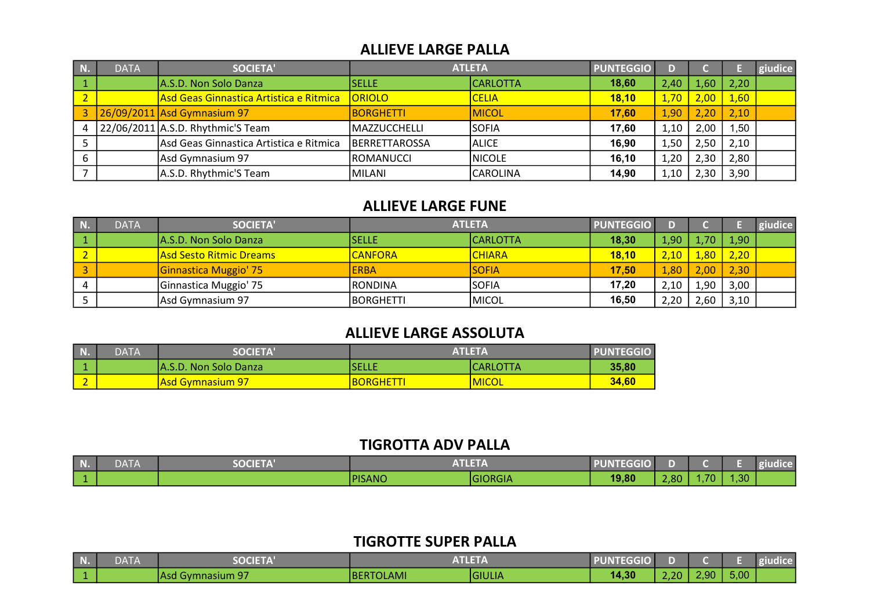#### ALLIEVE LARGE PALLA

| N.        | <b>DATA</b> | <b>SOCIETA'</b>                         |               | <b>ATLETA</b>   | <b>PUNTEGGIO</b> |      |        |      | giudice |
|-----------|-------------|-----------------------------------------|---------------|-----------------|------------------|------|--------|------|---------|
|           |             | A.S.D. Non Solo Danza                   | <b>SELLE</b>  | <b>CARLOTTA</b> | 18,60            | 2,40 | 4,60   | 2,20 |         |
| <u>הי</u> |             | Asd Geas Ginnastica Artistica e Ritmica | <b>ORIOLO</b> | <b>CELIA</b>    | 18,10            | 1,70 | $2,00$ | 1,60 |         |
|           |             | 26/09/2011 Asd Gymnasium 97             | BORGHETTI     | <b>MICOL</b>    | 17.60            | 1,90 | 2,20   | 2,10 |         |
| 4         |             | $22/06/2011$ A.S.D. Rhythmic'S Team     | MAZZUCCHELLI  | <b>SOFIA</b>    | 17,60            | 1,10 | 2,00   | ,50  |         |
|           |             | Asd Geas Ginnastica Artistica e Ritmica | BERRETTAROSSA | <b>ALICE</b>    | 16,90            | 1,50 | 2,50   | 2,10 |         |
| b         |             | Asd Gymnasium 97                        | ROMANUCCI     | <b>NICOLE</b>   | 16, 10           | 1,20 | 2,30   | 2,80 |         |
|           |             | A.S.D. Rhythmic'S Team                  | MILANI        | CAROLINA        | 14,90            | 1,10 | 2,30   | 3,90 |         |

#### ALLIEVE LARGE FUNE

| N | <b>DATA</b> | SOCIETA'                |                   | <b>ATLETA</b>   | <b>PUNTEGGIO</b> |      |                   |               | giudice |
|---|-------------|-------------------------|-------------------|-----------------|------------------|------|-------------------|---------------|---------|
|   |             | IA.S.D. Non Solo Danza  | <b>SELLE</b>      | <b>CARLOTTA</b> | 18,30            | 1,90 | 1.70 <sub>1</sub> | 1,90          |         |
|   |             | Asd Sesto Ritmic Dreams | <b>CANFORA</b>    | <b>CHIARA</b>   | 18,10            | 2,10 | 4,80              | 2,20          |         |
|   |             | Ginnastica Muggio' 75   | <b>ERBA</b>       | <b>SOFIA</b>    | 17.50            | 1,80 | 2,00              | $\sqrt{2,30}$ |         |
|   |             | Ginnastica Muggio' 75   | IRONDINA          | <b>SOFIA</b>    | 17,20            | 2,10 | 1,90              | 3,00          |         |
|   |             | Asd Gymnasium 97        | <b>IBORGHETTI</b> | <b>MICOL</b>    | 16,50            | 2,20 | 2,60              | 3,10          |         |

### ALLIEVE LARGE ASSOLUTA

| N. | <b>DATA</b> | <b>SOCIETA</b> '         |                 | <b>ATLETA</b><br><b>PUNTEGGIO</b> |       |  |
|----|-------------|--------------------------|-----------------|-----------------------------------|-------|--|
|    |             | IA.S.D. Non Solo Danza   | SELLE           | ICARLOTTA                         | 35,80 |  |
|    |             | <u>lAsd Gymnasium 97</u> | <b>BORGHETT</b> | <b>IMICOL</b>                     | 34.60 |  |

#### TIGROTTA ADV PALLA

| N. | <b>DATA</b> | <b>OCIETA</b> | <b>NTLETZ</b><br>________ |         | <b>TEGGIO I</b> |      |      |       | <b>ludice</b> |
|----|-------------|---------------|---------------------------|---------|-----------------|------|------|-------|---------------|
|    |             |               | <b>PISANO</b>             | GIORGIA | 19,80           | 2,80 | ,707 | 1,30/ |               |

## TIGROTTE SUPER PALLA

| $\vert$ N. | <b>DAIA</b> | <b>OCIET</b>                |                 | <b>STATISTICS</b><br>ALLENDA | ᠴ᠇<br>UNI<br>1 EGGIU |      |                   |      | giudice |
|------------|-------------|-----------------------------|-----------------|------------------------------|----------------------|------|-------------------|------|---------|
|            |             | <b>OT</b><br>TAsd Gymnasium | TOLAMI<br>'BERT | <b>IGIULIA</b>               | 14,30                | 2,20 | 2.90 <sub>1</sub> | 5,00 |         |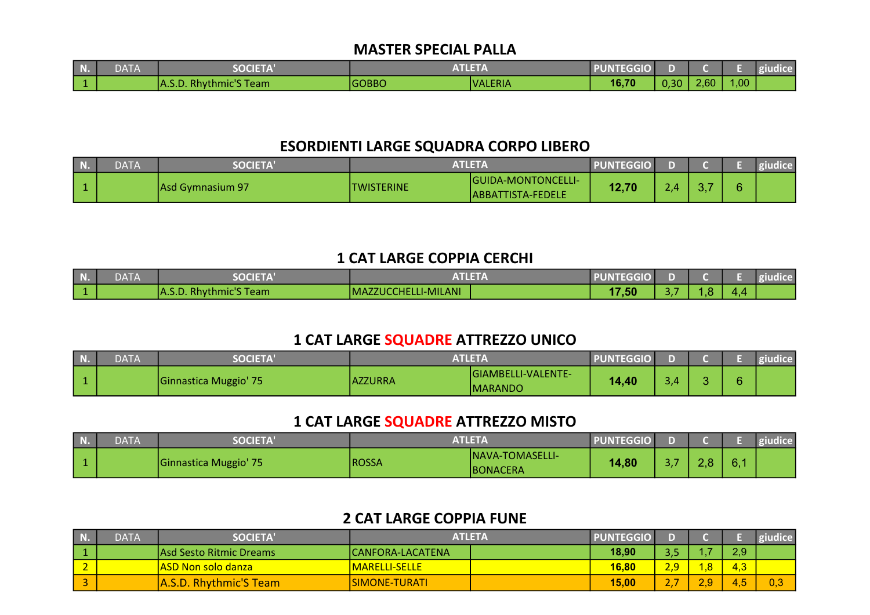#### MASTER SPECIAL PALLA

| <b>DATA</b> | <b>SOCIETA</b>                                  |              | T1 T T<br>AILEIA | <b>PUNTEGGIO</b> |      |      |      | dice |
|-------------|-------------------------------------------------|--------------|------------------|------------------|------|------|------|------|
|             | "S Team<br>استطعت<br>thmic'S.<br>knv<br>IA.J.U. | <b>GOBBO</b> | <b>IVALERIA</b>  | 16,70            | 0,30 | 2,60 | 1,00 |      |

#### ESORDIENTI LARGE SQUADRA CORPO LIBERO

| <b>N.</b> | DATA | <b>SOCIETA</b>   | ATLETA     |                                          | PUNTEGGIO I |                  |    |  |
|-----------|------|------------------|------------|------------------------------------------|-------------|------------------|----|--|
|           |      | Asd Gymnasium 97 | TWISTERINE | GUIDA-MONTONCELLI-<br>IABBATTISTA-FEDELE | 12,70       | 2.4 <sub>1</sub> | v. |  |

#### 1 CAT LARGE COPPIA CERCHI

| <b>N.</b> | DAIA | <b>SOCIFTA'</b>                                                    | $\mathbf{v}$ and $\mathbf{v}$<br>AN ILL<br>. .<br>________ | <b>PUNTEGGIO</b> |   |     |  |
|-----------|------|--------------------------------------------------------------------|------------------------------------------------------------|------------------|---|-----|--|
|           |      | <b>Example 25 Your Second Street</b><br><b>HA.S.D. Rhythmic S.</b> | MAZZUCCHELLI-MILANI                                        | ,50              | . | . . |  |

#### 1 CAT LARGE SQUADRE ATTREZZO UNICO

| N. | DATA | <b>SOCIETA'</b>       | <b>ATLETA</b>  |                                       | <b>PUNTEGGIO</b> |             |  | giudice |
|----|------|-----------------------|----------------|---------------------------------------|------------------|-------------|--|---------|
|    |      | Ginnastica Muggio' 75 | <b>AZZURRA</b> | <b>GIAMBELLI-VALENTE-</b><br> MARANDO | 14 40            | $3.4^\circ$ |  |         |

#### 1 CAT LARGE SQUADRE ATTREZZO MISTO

| T.T.<br>N.C | DATA | <b>SOCIETA'</b>       | <b>ATLETA</b> |                               | <b>PUNTEGGIO</b> |                   |    | giudice |
|-------------|------|-----------------------|---------------|-------------------------------|------------------|-------------------|----|---------|
|             |      | Ginnastica Muggio' 75 | <b>ROSSA</b>  | INAVA-TOMASELLI-<br>IBONACERA | 14,80            | $\sim$ $-$<br>- - | 6. |         |

## 2 CAT LARGE COPPIA FUNE

| $\blacksquare$ N | <b>DATA</b> | <b>SOCIETA'</b>               | ATLETA                  | <b>PUNTEGGIO</b> |      |     |             | <b>Riudice</b> |
|------------------|-------------|-------------------------------|-------------------------|------------------|------|-----|-------------|----------------|
| $\vert$ 1        |             | lAsd Sesto Ritmic Dreams      | <b>CANFORA-LACATENA</b> | 18,90            | ں, ں |     | 2,9         |                |
|                  |             | <b>ASD Non solo danza</b>     | <u> IMARELLI-SELLE</u>  | 16,80            | 2,9  | -8  | -2<br>4.ა   |                |
|                  |             | <b>A.S.D. Rhythmic'S Team</b> | ISIMONE-TURATI          | 15,00            | . .  | 2,9 | <b>H.O.</b> | 0.3            |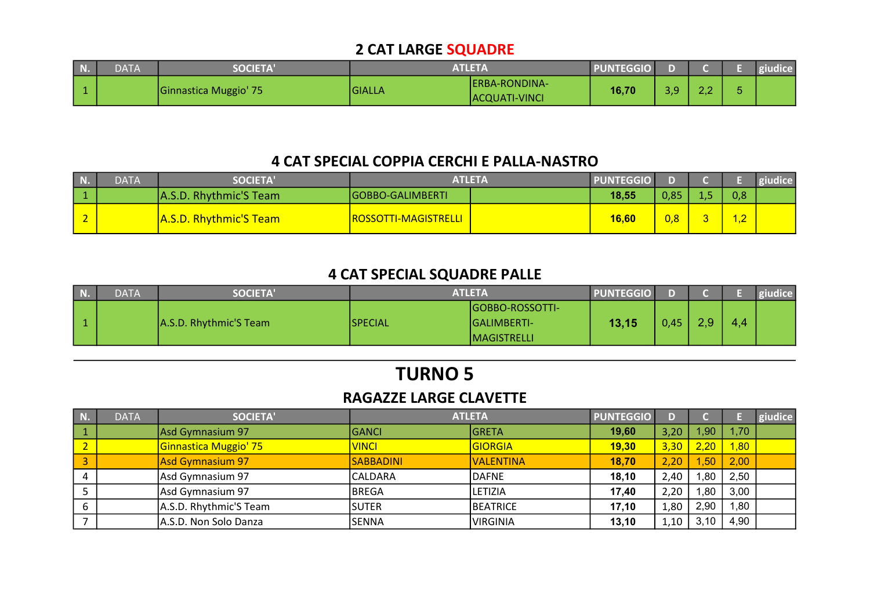## 2 CAT LARGE SQUADRE

| <b>DATA</b> | <b>SOCIETA</b>        | <b>ATLETA</b> |                                        | <b>PUNTEGGIO</b> |                     |          | giudice |
|-------------|-----------------------|---------------|----------------------------------------|------------------|---------------------|----------|---------|
|             | Ginnastica Muggio' 75 | <b>GIALLA</b> | IERBA-RONDINA-<br><b>ACQUATI-VINCI</b> | 16,70            | $\sim$ $\sim$<br>-- | n r<br>. |         |

### 4 CAT SPECIAL COPPIA CERCHI E PALLA-NASTRO

| <b>DATA</b> | <b>SOCIETA'</b>               | <b>ATLETA</b>               | <b>PUNTEGGIO</b> |      |     |                             |  |
|-------------|-------------------------------|-----------------------------|------------------|------|-----|-----------------------------|--|
|             | A.S.D. Rhythmic'S Team        | <b>IGOBBO-GALIMBERTI</b>    | 18,55            | 0,85 | ن د | 0,8                         |  |
|             | <b>A.S.D. Rhythmic'S Team</b> | <b>ROSSOTTI-MAGISTRELLI</b> | 16,60            | 0,8  |     | $\sim$ $\sim$<br><u>. گ</u> |  |

# 4 CAT SPECIAL SQUADRE PALLE

| <b>N.</b> | <b>DATA</b> | <b>SOCIETA'</b>        | <b>ATLETA</b>   |                                                         | <b>PUNTEGGIO</b> |      |                  |     | giudice |
|-----------|-------------|------------------------|-----------------|---------------------------------------------------------|------------------|------|------------------|-----|---------|
|           |             | A.S.D. Rhythmic'S Team | <b>ISPECIAL</b> | IGOBBO-ROSSOTTI-<br>IGALIMBERTI-<br><b>IMAGISTRELLI</b> | 13,15            | 0.45 | 2.9 <sup>°</sup> | 4,4 |         |

# TURNO 5

#### RAGAZZE LARGE CLAVETTE

| N. | <b>DATA</b> | <b>SOCIETA'</b>        | <b>ATLETA</b>    |                  | <b>PUNTEGGIO</b> | D)   |                  |      | giudice |
|----|-------------|------------------------|------------------|------------------|------------------|------|------------------|------|---------|
|    |             | Asd Gymnasium 97       | <b>GANCI</b>     | GRETA            | 19,60            | 3,20 | 1.90             | 1,70 |         |
|    |             | Ginnastica Muggio' 75  | <b>VINCI</b>     | <b>GIORGIA</b>   | 19,30            | 3,30 | 2,20             | ,80  |         |
|    |             | Asd Gymnasium 97       | <b>SABBADINI</b> | <b>VALENTINA</b> | 18,70            | 2,20 | .50 <sub>l</sub> | 2,00 |         |
|    |             | Asd Gymnasium 97       | <b>CALDARA</b>   | <b>DAFNE</b>     | 18,10            | 2,40 | .80              | 2,50 |         |
|    |             | Asd Gymnasium 97       | <b>BREGA</b>     | LETIZIA          | 17,40            | 2,20 | .80              | 3,00 |         |
|    |             | A.S.D. Rhythmic'S Team | <b>ISUTER</b>    | BEATRICE         | 17,10            | 1,80 | 2,90             | .80  |         |
|    |             | A.S.D. Non Solo Danza  | <b>SENNA</b>     | <b>VIRGINIA</b>  | 13,10            | 1,10 | 3,10             | 4,90 |         |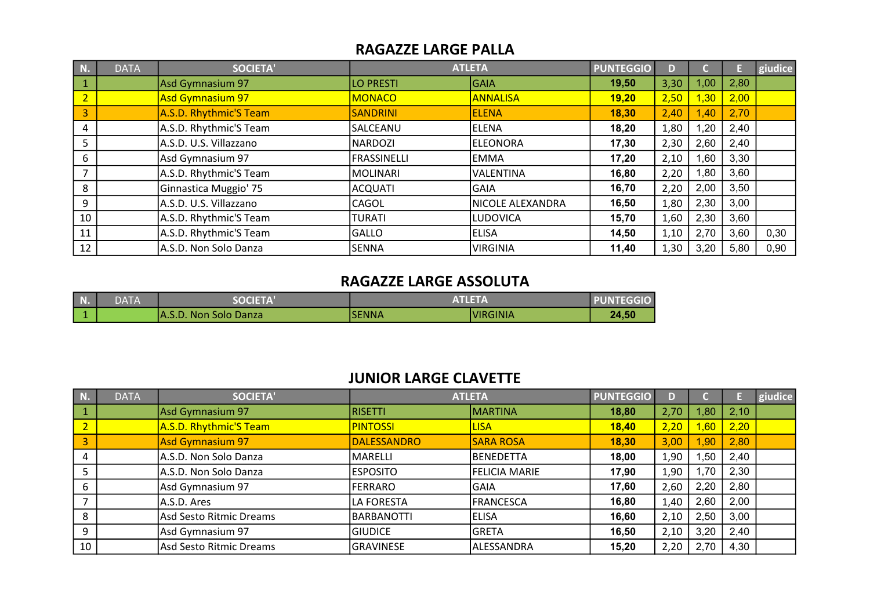#### RAGAZZE LARGE PALLA

| <b>N.</b>               | <b>DATA</b> | <b>SOCIETA'</b>         |                    | <b>ATLETA</b>    | <b>PUNTEGGIO</b> |      |      |      | giudice |
|-------------------------|-------------|-------------------------|--------------------|------------------|------------------|------|------|------|---------|
| $\boxed{1}$             |             | Asd Gymnasium 97        | LO PRESTI          | <b>GAIA</b>      | 19,50            | 3,30 | 00,  | 2,80 |         |
| $\overline{2}$          |             | <b>Asd Gymnasium 97</b> | <b>MONACO</b>      | <b>ANNALISA</b>  | 19,20            | 2,50 | ,30  | 2,00 |         |
| $\overline{\mathbf{3}}$ |             | A.S.D. Rhythmic'S Team  | <b>SANDRINI</b>    | <b>ELENA</b>     | 18,30            | 2,40 | ,40  | 2,70 |         |
| 4                       |             | A.S.D. Rhythmic'S Team  | SALCEANU           | ELENA            | 18,20            | 1,80 | ,20  | 2,40 |         |
| 5                       |             | A.S.D. U.S. Villazzano  | <b>NARDOZI</b>     | leleonora        | 17,30            | 2,30 | 2,60 | 2,40 |         |
| 6                       |             | Asd Gymnasium 97        | <b>FRASSINELLI</b> | <b>EMMA</b>      | 17,20            | 2,10 | .60  | 3,30 |         |
|                         |             | A.S.D. Rhythmic'S Team  | <b>MOLINARI</b>    | lVALENTINA       | 16,80            | 2,20 | .80  | 3,60 |         |
| 8                       |             | Ginnastica Muggio' 75   | <b>ACQUATI</b>     | <b>GAIA</b>      | 16,70            | 2,20 | 2,00 | 3,50 |         |
| 9                       |             | A.S.D. U.S. Villazzano  | <b>CAGOL</b>       | NICOLE ALEXANDRA | 16,50            | 1,80 | 2,30 | 3,00 |         |
| 10                      |             | A.S.D. Rhythmic'S Team  | TURATI             | <b>LUDOVICA</b>  | 15,70            | 1,60 | 2,30 | 3,60 |         |
| 11                      |             | A.S.D. Rhythmic'S Team  | <b>GALLO</b>       | <b>ELISA</b>     | 14,50            | 1,10 | 2,70 | 3,60 | 0,30    |
| 12                      |             | A.S.D. Non Solo Danza   | <b>SENNA</b>       | <b>VIRGINIA</b>  | 11,40            | 1,30 | 3,20 | 5,80 | 0,90    |

#### RAGAZZE LARGE ASSOLUTA

| N. | DATA | <b>SOCIFTA'</b>               | <b>ATLETA</b> | <b>PUNTEGGIO</b> |       |
|----|------|-------------------------------|---------------|------------------|-------|
|    |      | <b>JA.S.D. Non Solo Danza</b> | <b>SENNA</b>  | <b>VIRGINIA</b>  | 24,50 |

#### JUNIOR LARGE CLAVETTE

| N.             | <b>DATA</b> | <b>SOCIETA'</b>         | <b>ATLETA</b>      |                   | <b>PUNTEGGIO</b> | D)   |      |      | giudice |
|----------------|-------------|-------------------------|--------------------|-------------------|------------------|------|------|------|---------|
|                |             | Asd Gymnasium 97        | <b>RISETTI</b>     | <b>MARTINA</b>    | 18,80            | 2,70 | 1,80 | 2,10 |         |
| $\overline{2}$ |             | A.S.D. Rhythmic'S Team  | <b>PINTOSSI</b>    | <b>LISA</b>       | 18,40            | 2,20 | ,60  | 2,20 |         |
| 3              |             | Asd Gymnasium 97        | <b>DALESSANDRO</b> | <b>SARA ROSA</b>  | 18,30            | 3,00 | ,90  | 2,80 |         |
| 4              |             | A.S.D. Non Solo Danza   | MARELLI            | <b>BENEDETTA</b>  | 18,00            | 1,90 | ,50  | 2,40 |         |
| 5              |             | A.S.D. Non Solo Danza   | <b>ESPOSITO</b>    | FELICIA MARIE     | 17,90            | 1,90 | 1,70 | 2,30 |         |
| 6              |             | Asd Gymnasium 97        | FERRARO            | <b>GAIA</b>       | 17,60            | 2,60 | 2,20 | 2,80 |         |
|                |             | A.S.D. Ares             | LA FORESTA         | FRANCESCA         | 16,80            | 1,40 | 2,60 | 2,00 |         |
| 8              |             | Asd Sesto Ritmic Dreams | BARBANOTTI         | <b>ELISA</b>      | 16,60            | 2,10 | 2,50 | 3,00 |         |
| 9              |             | Asd Gymnasium 97        | <b>GIUDICE</b>     | <b>GRETA</b>      | 16,50            | 2,10 | 3,20 | 2,40 |         |
| 10             |             | Asd Sesto Ritmic Dreams | <b>GRAVINESE</b>   | <b>ALESSANDRA</b> | 15,20            | 2,20 | 2,70 | 4,30 |         |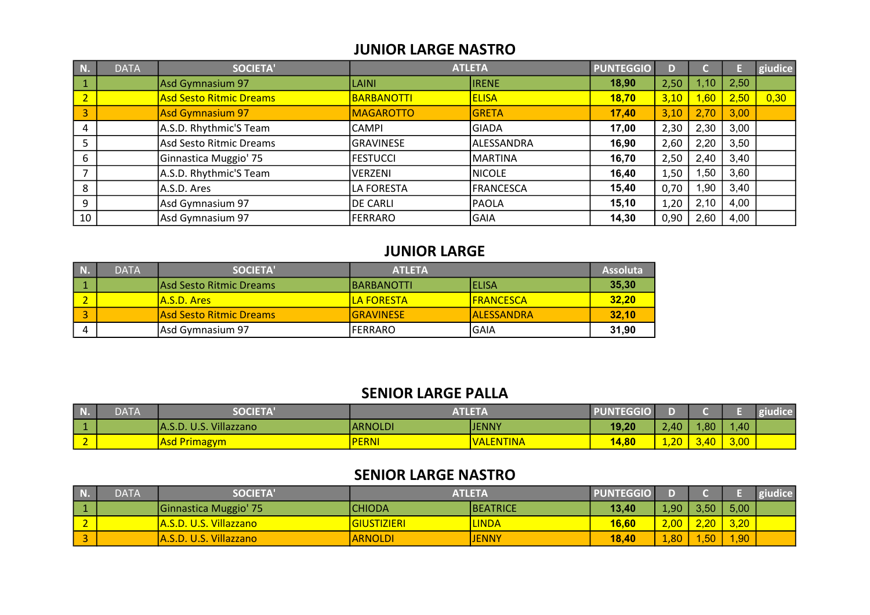#### JUNIOR LARGE NASTRO

| N.             | <b>DATA</b> | <b>SOCIETA'</b>                | <b>ATLETA</b>     |              | <b>PUNTEGGIO</b> |      |      |      | giudice |
|----------------|-------------|--------------------------------|-------------------|--------------|------------------|------|------|------|---------|
|                |             | Asd Gymnasium 97               | LAINI             | <b>IRENE</b> | 18,90            | 2,50 | .10  | 2,50 |         |
| $\overline{2}$ |             | <b>Asd Sesto Ritmic Dreams</b> | <b>BARBANOTTI</b> | <b>ELISA</b> | 18,70            | 3,10 | ,60  | 2,50 | 0,30    |
| 3              |             | Asd Gymnasium 97               | <b>MAGAROTTO</b>  | <b>GRETA</b> | 17,40            | 3,10 | 2,70 | 3,00 |         |
| 4              |             | A.S.D. Rhythmic'S Team         | CAMPI             | <b>GIADA</b> | 17,00            | 2,30 | 2,30 | 3,00 |         |
|                |             | Asd Sesto Ritmic Dreams        | GRAVINESE         | ALESSANDRA   | 16,90            | 2,60 | 2,20 | 3,50 |         |
| 6              |             | Ginnastica Muggio' 75          | <b>FESTUCCI</b>   | MARTINA      | 16,70            | 2,50 | 2,40 | 3,40 |         |
|                |             | A.S.D. Rhythmic'S Team         | <b>VERZENI</b>    | NICOLE       | 16,40            | 1,50 | ,50  | 3,60 |         |
| 8              |             | A.S.D. Ares                    | LA FORESTA        | FRANCESCA    | 15,40            | 0,70 | ,90  | 3,40 |         |
| 9              |             | Asd Gymnasium 97               | DE CARLI          | <b>PAOLA</b> | 15,10            | 1,20 | 2,10 | 4,00 |         |
| 10             |             | Asd Gymnasium 97               | <b>FERRARO</b>    | GAIA         | 14,30            | 0,90 | 2,60 | 4,00 |         |

## JUNIOR LARGE

| N. | <b>DATA</b> | SOCIETA'                        | <b>ATLETA</b>      | <b>Assoluta</b>   |       |
|----|-------------|---------------------------------|--------------------|-------------------|-------|
|    |             | <b>IAsd Sesto Ritmic Dreams</b> | <b>IBARBANOTTI</b> | IELISA            | 35,30 |
|    |             | IA.S.D. Ares                    | <u>ILA FORESTA</u> | <b>IFRANCESCA</b> | 32,20 |
|    |             | lAsd Sesto Ritmic Dreams        | IGRAVINESE         | IALESSANDRA       | 32,10 |
|    |             | Asd Gymnasium 97                | IFERRARO           | IGAIA             | 31,90 |

#### SENIOR LARGE PALLA

| <b>1999</b><br>NЮ                  | <b>DATA</b> | <b>SOCIETA'</b>                              |                | ATLETA           | <b>PUNTEGGIO</b> |                     |                  |            | udice |
|------------------------------------|-------------|----------------------------------------------|----------------|------------------|------------------|---------------------|------------------|------------|-------|
|                                    |             | <b>Villazzano</b><br>$\mathsf{IA}$ .S.D.<br> | <b>ARNOLDI</b> | <b>JENNY</b>     | 19,20            | $\angle 40^{\circ}$ | .80 <sub>1</sub> | $1,40^{-}$ |       |
| $\overline{\phantom{a}}$<br>$\sim$ |             | <b>Asd Primagym</b>                          | <b>PERNI</b>   | <b>VALENTINA</b> | 14,80            | ാല<br><b>1.40</b>   | $\sqrt{2}$       | 3,00       |       |

### SENIOR LARGE NASTRO

| N.     | <b>DATA</b> | <b>SOCIETA'</b>        | <b>ATLETA</b>            |                  | <b>PUNTEGGIO</b> |      |      |      | giudice |
|--------|-------------|------------------------|--------------------------|------------------|------------------|------|------|------|---------|
|        |             | Ginnastica Muggio' 75  | <b>CHIODA</b>            | <b>IBEATRICE</b> | 13,40            | 1,90 | 3,50 | 5,00 |         |
| $\sim$ |             | A.S.D. U.S. Villazzano | <mark>GIUSTIZIERI</mark> | <b>LINDA</b>     | 16,60            | 2,00 |      | 3,20 |         |
| $\sim$ |             | A.S.D. U.S. Villazzano | <b>ARNOLDI</b>           | <b>JENNY</b>     | 18,40            | 1,80 | 1,50 | ,90/ |         |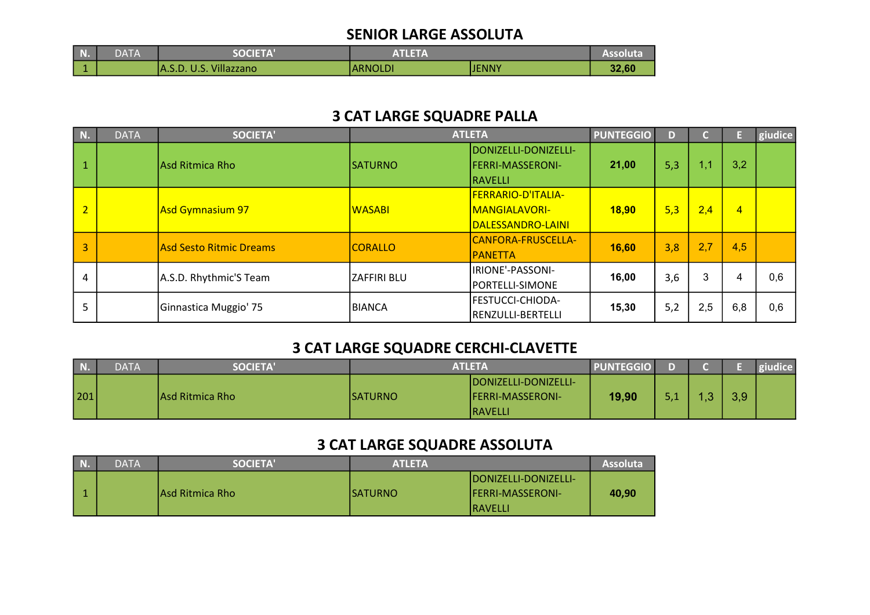#### SENIOR LARGE ASSOLUTA

| <b>N.</b> | DATA | <b>SOCIETA'</b>            | <b>ATLETA</b> | Assoluta |       |
|-----------|------|----------------------------|---------------|----------|-------|
|           |      | U.S. Villazzano<br>IA.S.D. | ARNOLDI       | IJENNY   | 32,60 |

# 3 CAT LARGE SQUADRE PALLA

| N.             | <b>DATA</b>                    | <b>SOCIETA'</b>        | <b>ATLETA</b>  |                                                 | <b>PUNTEGGIO</b> | D   |     |                | giudice |
|----------------|--------------------------------|------------------------|----------------|-------------------------------------------------|------------------|-----|-----|----------------|---------|
|                |                                | Asd Ritmica Rho        | <b>SATURNO</b> | DONIZELLI-DONIZELLI-<br><b>FERRI-MASSERONI-</b> | 21,00            | 5,3 | 1,1 | 3,2            |         |
|                |                                |                        |                | RAVELLI                                         |                  |     |     |                |         |
|                | <b>Asd Gymnasium 97</b>        |                        | <b>WASABI</b>  | FERRARIO-D'ITALIA-                              | 18,90            | 5,3 | 2,4 | $\overline{4}$ |         |
| $\overline{2}$ |                                |                        |                | <b>MANGIALAVORI-</b>                            |                  |     |     |                |         |
|                |                                |                        |                | DALESSANDRO-LAINI                               |                  |     |     |                |         |
| 3              | <b>Asd Sesto Ritmic Dreams</b> |                        | <b>CORALLO</b> | CANFORA-FRUSCELLA-                              | 16,60            | 3,8 | 2,7 | 4,5            |         |
|                |                                |                        |                | <b>PANETTA</b>                                  |                  |     |     |                |         |
| 4              |                                | A.S.D. Rhythmic'S Team | ZAFFIRI BLU    | IRIONE'-PASSONI-                                | 16,00            | 3,6 | 3   | 4              | 0,6     |
|                |                                |                        |                | PORTELLI-SIMONE                                 |                  |     |     |                |         |
| 5              |                                | Ginnastica Muggio' 75  | BIANCA         | FESTUCCI-CHIODA-                                | 15,30            | 5,2 | 2,5 | 6,8            | 0,6     |
|                |                                |                        |                | RENZULLI-BERTELLI                               |                  |     |     |                |         |

# 3 CAT LARGE SQUADRE CERCHI-CLAVETTE

| $\blacksquare$ N. | <b>DATA</b> | <b>SOCIETA'</b> | <b>ATLETA</b>   |                                                                     | <b>PUNTEGGIO</b> |          |     |     | giudice |
|-------------------|-------------|-----------------|-----------------|---------------------------------------------------------------------|------------------|----------|-----|-----|---------|
| 201               |             | Asd Ritmica Rho | <b>ISATURNO</b> | DONIZELLI-DONIZELLI-<br><b>IFERRI-MASSERONI-</b><br><b>IRAVELLI</b> | 19,90            | - 4<br>. | - 9 | 3,9 |         |

# 3 CAT LARGE SQUADRE ASSOLUTA

| N. | <b>DATA</b> | <b>SOCIETA'</b>  | <b>ATLETA</b> |                                                                             | Assoluta |
|----|-------------|------------------|---------------|-----------------------------------------------------------------------------|----------|
|    |             | IAsd Ritmica Rho | ISATURNO      | <b>IDONIZELLI-DONIZELLI-</b><br><b>IFERRI-MASSERONI-</b><br><b>IRAVELLI</b> | 40,90    |